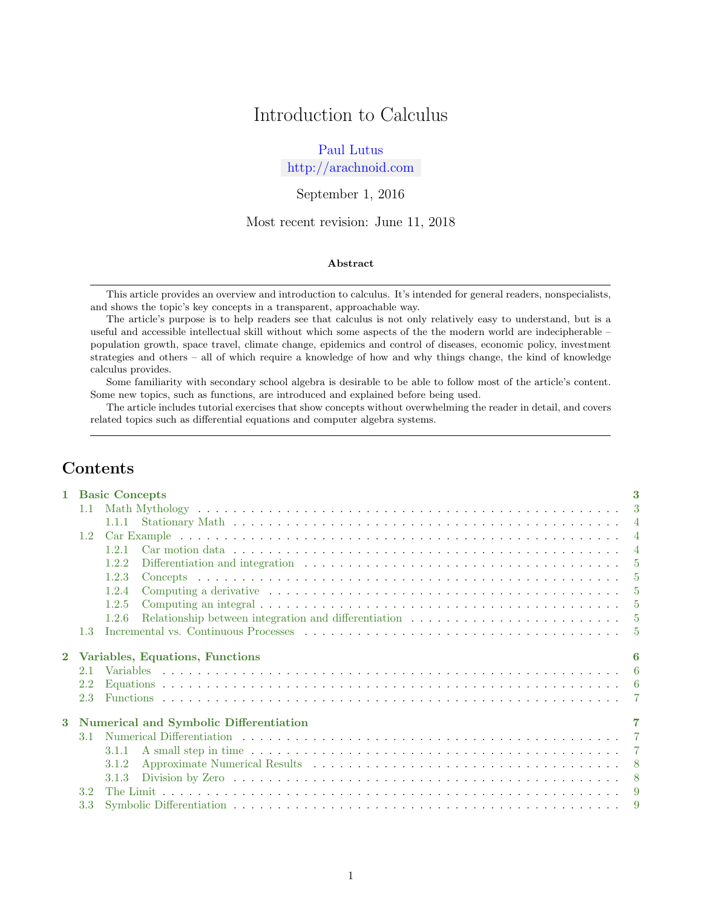# Introduction to Calculus

# [Paul Lutus](http://arachnoid.com/administration)

<http://arachnoid.com>

September 1, 2016

Most recent revision: June 11, 2018

### Abstract

This article provides an overview and introduction to calculus. It's intended for general readers, nonspecialists, and shows the topic's key concepts in a transparent, approachable way.

The article's purpose is to help readers see that calculus is not only relatively easy to understand, but is a useful and accessible intellectual skill without which some aspects of the the modern world are indecipherable – population growth, space travel, climate change, epidemics and control of diseases, economic policy, investment strategies and others – all of which require a knowledge of how and why things change, the kind of knowledge calculus provides.

Some familiarity with secondary school algebra is desirable to be able to follow most of the article's content. Some new topics, such as functions, are introduced and explained before being used.

The article includes tutorial exercises that show concepts without overwhelming the reader in detail, and covers related topics such as differential equations and computer algebra systems.

# Contents

|          |               | 3<br>1 Basic Concepts                  |                |  |  |  |  |  |  |
|----------|---------------|----------------------------------------|----------------|--|--|--|--|--|--|
|          | $1.1 -$       |                                        |                |  |  |  |  |  |  |
|          |               |                                        |                |  |  |  |  |  |  |
|          | 1.2           |                                        |                |  |  |  |  |  |  |
|          |               | 1.2.1                                  |                |  |  |  |  |  |  |
|          |               | 1.2.2                                  |                |  |  |  |  |  |  |
|          |               | 1.2.3                                  |                |  |  |  |  |  |  |
|          |               | 1.2.4                                  |                |  |  |  |  |  |  |
|          |               | 1.2.5                                  |                |  |  |  |  |  |  |
|          |               | 1.2.6                                  |                |  |  |  |  |  |  |
|          |               |                                        |                |  |  |  |  |  |  |
|          | 1.3           |                                        |                |  |  |  |  |  |  |
| $\bf{2}$ |               | Variables, Equations, Functions        |                |  |  |  |  |  |  |
|          | 2.1           |                                        |                |  |  |  |  |  |  |
|          | $2.2^{\circ}$ |                                        |                |  |  |  |  |  |  |
|          | 2.3           |                                        | $\overline{7}$ |  |  |  |  |  |  |
|          |               |                                        |                |  |  |  |  |  |  |
| 3        |               | Numerical and Symbolic Differentiation | 7              |  |  |  |  |  |  |
|          | 3.1           |                                        |                |  |  |  |  |  |  |
|          |               | 3.1.1                                  |                |  |  |  |  |  |  |
|          |               | 3.1.2                                  |                |  |  |  |  |  |  |
|          |               | 3.1.3                                  |                |  |  |  |  |  |  |
|          | 3.2           |                                        | -9             |  |  |  |  |  |  |
|          | 3.3           |                                        | -9             |  |  |  |  |  |  |
|          |               |                                        |                |  |  |  |  |  |  |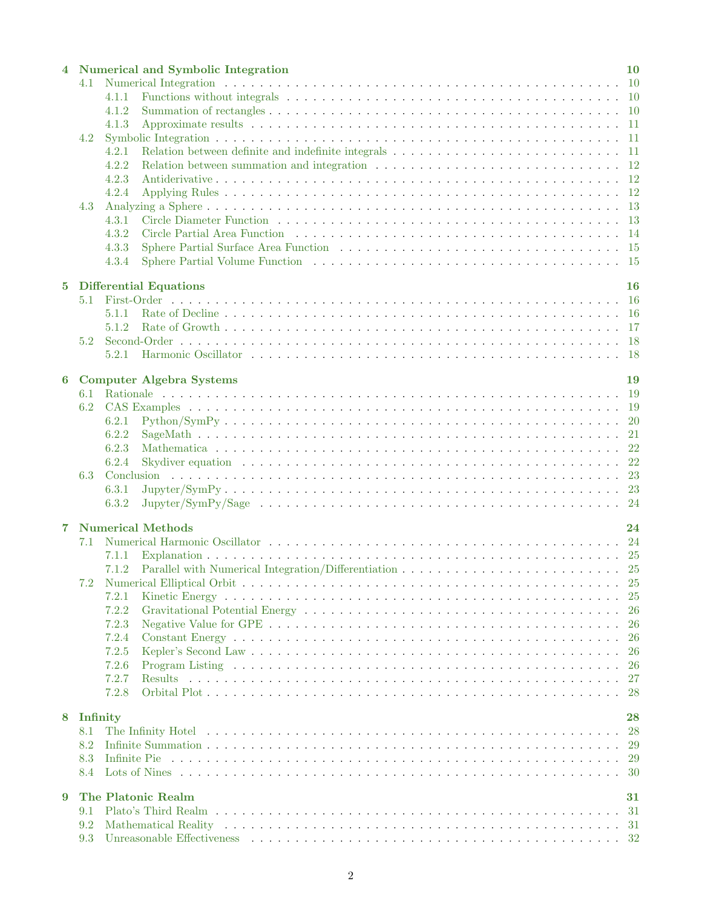|          |            | Numerical and Symbolic Integration                                                                                                                                                                                                      | 10 |
|----------|------------|-----------------------------------------------------------------------------------------------------------------------------------------------------------------------------------------------------------------------------------------|----|
|          | 4.1        |                                                                                                                                                                                                                                         |    |
|          |            | 4.1.1                                                                                                                                                                                                                                   |    |
|          |            | 4.1.2                                                                                                                                                                                                                                   |    |
|          |            | 4.1.3                                                                                                                                                                                                                                   |    |
|          | 4.2        |                                                                                                                                                                                                                                         |    |
|          |            | 4.2.1                                                                                                                                                                                                                                   |    |
|          |            | 4.2.2                                                                                                                                                                                                                                   |    |
|          |            | 4.2.3                                                                                                                                                                                                                                   |    |
|          |            | 4.2.4                                                                                                                                                                                                                                   |    |
|          | 4.3        |                                                                                                                                                                                                                                         |    |
|          |            | 4.3.1                                                                                                                                                                                                                                   |    |
|          |            | 4.3.2<br>Circle Partial Area Function (a) respectively and the contract of the Partial Area Function (b) and the contract of the contract of the contract of the contract of the contract of the contract of the contract of the contra |    |
|          |            | 4.3.3                                                                                                                                                                                                                                   |    |
|          |            | 4.3.4                                                                                                                                                                                                                                   |    |
|          |            |                                                                                                                                                                                                                                         |    |
| $\bf{5}$ |            | <b>Differential Equations</b>                                                                                                                                                                                                           | 16 |
|          | 5.1        |                                                                                                                                                                                                                                         |    |
|          |            | 5.1.1                                                                                                                                                                                                                                   |    |
|          |            | 5.1.2                                                                                                                                                                                                                                   |    |
|          | 5.2        |                                                                                                                                                                                                                                         |    |
|          |            | 5.2.1                                                                                                                                                                                                                                   |    |
|          |            |                                                                                                                                                                                                                                         |    |
| 6        |            | <b>Computer Algebra Systems</b>                                                                                                                                                                                                         | 19 |
|          | 6.1        |                                                                                                                                                                                                                                         |    |
|          | 6.2        |                                                                                                                                                                                                                                         |    |
|          |            | 6.2.1                                                                                                                                                                                                                                   |    |
|          |            | 6.2.2                                                                                                                                                                                                                                   |    |
|          |            | 6.2.3                                                                                                                                                                                                                                   |    |
|          |            | Skydiver equation (a) in the contract of the contract of the contract of the contract of the contract of the contract of the contract of the contract of the contract of the contract of the contract of the contract of the c<br>6.2.4 |    |
|          | 6.3        |                                                                                                                                                                                                                                         |    |
|          |            | 6.3.1                                                                                                                                                                                                                                   |    |
|          |            | 6.3.2                                                                                                                                                                                                                                   |    |
|          |            |                                                                                                                                                                                                                                         |    |
| 7        |            | <b>Numerical Methods</b>                                                                                                                                                                                                                | 24 |
|          | 7.1        |                                                                                                                                                                                                                                         |    |
|          |            | 7.1.1                                                                                                                                                                                                                                   |    |
|          |            | 7.1.2                                                                                                                                                                                                                                   |    |
|          | 7.2        |                                                                                                                                                                                                                                         |    |
|          |            | 7.2.1                                                                                                                                                                                                                                   |    |
|          |            | 7.2.2                                                                                                                                                                                                                                   |    |
|          |            | 7.2.3                                                                                                                                                                                                                                   |    |
|          |            | 7.2.4                                                                                                                                                                                                                                   |    |
|          |            | 7.2.5                                                                                                                                                                                                                                   |    |
|          |            | 7.2.6                                                                                                                                                                                                                                   |    |
|          |            | 7.2.7<br>Results                                                                                                                                                                                                                        |    |
|          |            | 7.2.8                                                                                                                                                                                                                                   |    |
|          |            |                                                                                                                                                                                                                                         |    |
| 8        | Infinity   |                                                                                                                                                                                                                                         | 28 |
|          | 8.1<br>8.2 |                                                                                                                                                                                                                                         |    |
|          |            |                                                                                                                                                                                                                                         |    |
|          | 8.3        |                                                                                                                                                                                                                                         |    |
|          | 8.4        |                                                                                                                                                                                                                                         |    |
| 9        |            | The Platonic Realm                                                                                                                                                                                                                      | 31 |
|          | 9.1        |                                                                                                                                                                                                                                         |    |
|          | 9.2        |                                                                                                                                                                                                                                         |    |
|          | 9.3        |                                                                                                                                                                                                                                         |    |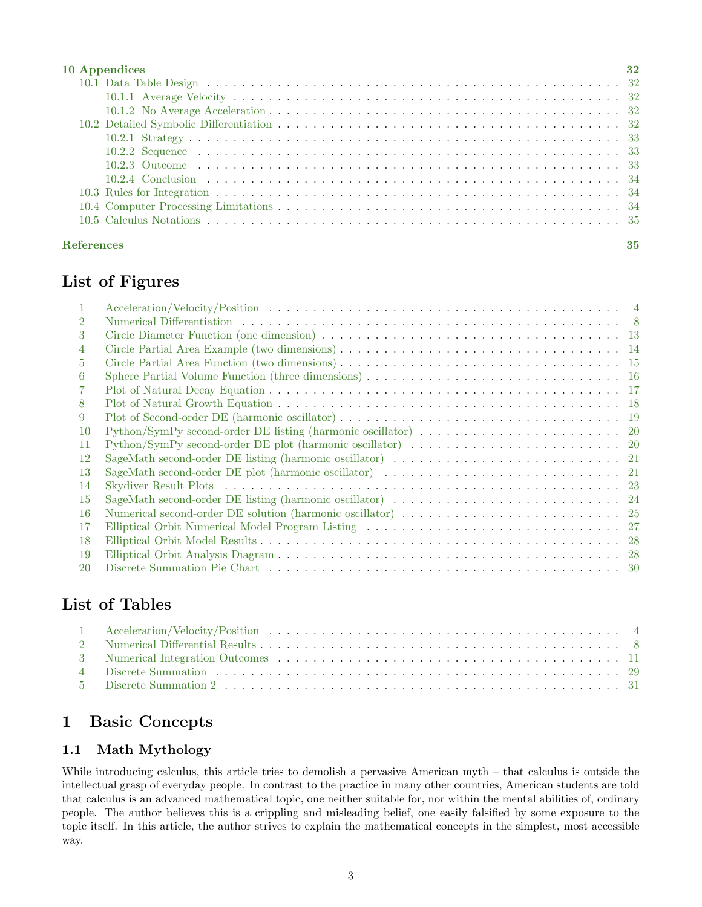| 10 Appendices     | 32 |
|-------------------|----|
|                   |    |
|                   |    |
|                   |    |
|                   |    |
|                   |    |
|                   |    |
|                   |    |
|                   |    |
|                   |    |
|                   |    |
|                   |    |
| <b>References</b> | 35 |

# List of Figures

| $\overline{2}$ |                                                                                                                                                                       |  |
|----------------|-----------------------------------------------------------------------------------------------------------------------------------------------------------------------|--|
| 3              |                                                                                                                                                                       |  |
| 4              |                                                                                                                                                                       |  |
| 5              |                                                                                                                                                                       |  |
| 6              | Sphere Partial Volume Function (three dimensions) $\dots \dots \dots \dots \dots \dots \dots \dots \dots \dots \dots \dots \dots \dots \dots \dots \dots \dots \dots$ |  |
| 7              |                                                                                                                                                                       |  |
| 8              |                                                                                                                                                                       |  |
| 9              |                                                                                                                                                                       |  |
| 10             |                                                                                                                                                                       |  |
| 11             | Python/SymPy second-order DE plot (harmonic oscillator) $\dots \dots \dots \dots \dots \dots \dots \dots \dots \dots \dots$ 20                                        |  |
| 12             | SageMath second-order DE listing (harmonic oscillator) $\dots \dots \dots \dots \dots \dots \dots \dots \dots \dots \dots \dots$ 21                                   |  |
| 13             | SageMath second-order DE plot (harmonic oscillator) $\dots \dots \dots \dots \dots \dots \dots \dots \dots \dots \dots \dots$ 21                                      |  |
| 14             |                                                                                                                                                                       |  |
| 15             |                                                                                                                                                                       |  |
| -16            |                                                                                                                                                                       |  |
| 17             |                                                                                                                                                                       |  |
| 18             |                                                                                                                                                                       |  |
| 19             |                                                                                                                                                                       |  |
| 20             |                                                                                                                                                                       |  |

# List of Tables

# <span id="page-2-0"></span>1 Basic Concepts

# <span id="page-2-1"></span>1.1 Math Mythology

While introducing calculus, this article tries to demolish a pervasive American myth – that calculus is outside the intellectual grasp of everyday people. In contrast to the practice in many other countries, American students are told that calculus is an advanced mathematical topic, one neither suitable for, nor within the mental abilities of, ordinary people. The author believes this is a crippling and misleading belief, one easily falsified by some exposure to the topic itself. In this article, the author strives to explain the mathematical concepts in the simplest, most accessible way.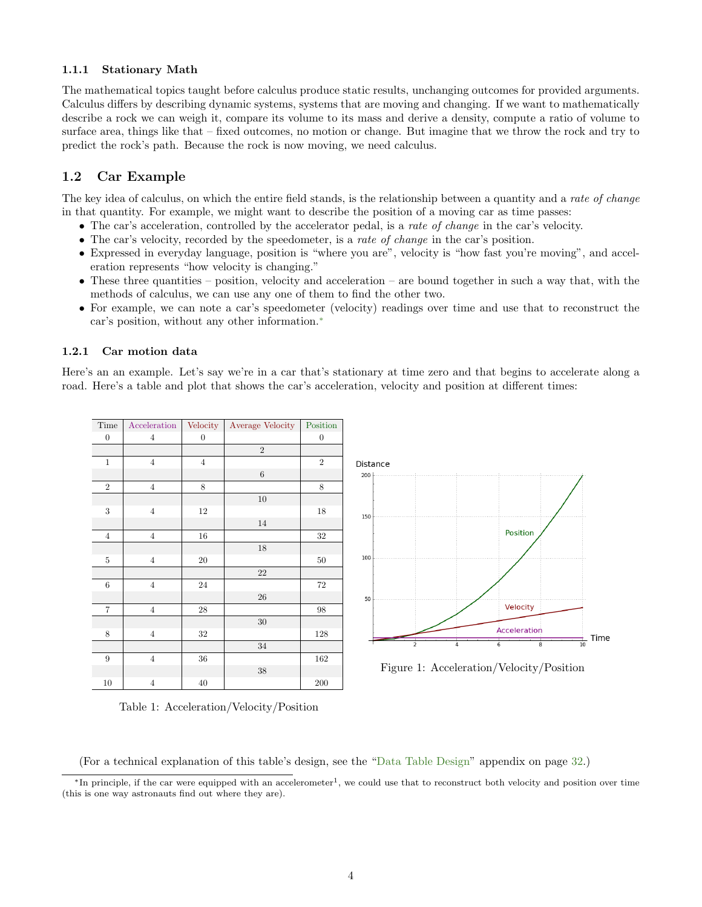# <span id="page-3-0"></span>1.1.1 Stationary Math

The mathematical topics taught before calculus produce static results, unchanging outcomes for provided arguments. Calculus differs by describing dynamic systems, systems that are moving and changing. If we want to mathematically describe a rock we can weigh it, compare its volume to its mass and derive a density, compute a ratio of volume to surface area, things like that – fixed outcomes, no motion or change. But imagine that we throw the rock and try to predict the rock's path. Because the rock is now moving, we need calculus.

# <span id="page-3-1"></span>1.2 Car Example

The key idea of calculus, on which the entire field stands, is the relationship between a quantity and a rate of change in that quantity. For example, we might want to describe the position of a moving car as time passes:

- The car's acceleration, controlled by the accelerator pedal, is a rate of change in the car's velocity.
- The car's velocity, recorded by the speedometer, is a *rate of change* in the car's position.
- Expressed in everyday language, position is "where you are", velocity is "how fast you're moving", and acceleration represents "how velocity is changing."
- These three quantities position, velocity and acceleration are bound together in such a way that, with the methods of calculus, we can use any one of them to find the other two.
- For example, we can note a car's speedometer (velocity) readings over time and use that to reconstruct the car's position, without any other information.[∗](#page-3-4)

#### <span id="page-3-2"></span>1.2.1 Car motion data

<span id="page-3-3"></span>Here's an an example. Let's say we're in a car that's stationary at time zero and that begins to accelerate along a road. Here's a table and plot that shows the car's acceleration, velocity and position at different times:

| Time              | Acceleration   | Velocity         | Average Velocity | Position         |
|-------------------|----------------|------------------|------------------|------------------|
| $\boldsymbol{0}$  | $\overline{4}$ | $\boldsymbol{0}$ |                  | $\boldsymbol{0}$ |
|                   |                |                  | $\sqrt{2}$       |                  |
| $\mathbf{1}$      | $\overline{4}$ | $\overline{4}$   |                  | $\,2$            |
|                   |                |                  | $\,6$            |                  |
| $\,2$             | $\overline{4}$ | 8                |                  | 8                |
|                   |                |                  | 10               |                  |
| $\sqrt{3}$        | $\overline{4}$ | 12               |                  | 18               |
|                   |                |                  | 14               |                  |
| $\sqrt{4}$        | $\overline{4}$ | 16               |                  | $32\,$           |
|                   |                |                  | $18\,$           |                  |
| $\rm 5$           | $\overline{4}$ | $20\,$           |                  | $50\,$           |
|                   |                |                  | $22\,$           |                  |
| $\,6$             | $\,4\,$        | $\sqrt{24}$      |                  | $72\,$           |
|                   |                |                  | 26               |                  |
| $\scriptstyle{7}$ | $\overline{4}$ | $\sqrt{28}$      |                  | 98               |
|                   |                |                  | $30\,$           |                  |
| 8                 | $\overline{4}$ | 32               |                  | 128              |
|                   |                |                  | $34\,$           |                  |
| $\boldsymbol{9}$  | $\overline{4}$ | $36\,$           |                  | 162              |
|                   |                |                  | $38\,$           |                  |
| $10\,$            | $\overline{4}$ | $40\,$           |                  | 200              |

Table 1: Acceleration/Velocity/Position



Figure 1: Acceleration/Velocity/Position

(For a technical explanation of this table's design, see the ["Data Table Design"](#page-31-2) appendix on page [32.](#page-31-2))

<span id="page-3-4"></span><sup>\*</sup>In principle, if the car were equipped with an accelerometer<sup>1</sup>, we could use that to reconstruct both velocity and position over time (this is one way astronauts find out where they are).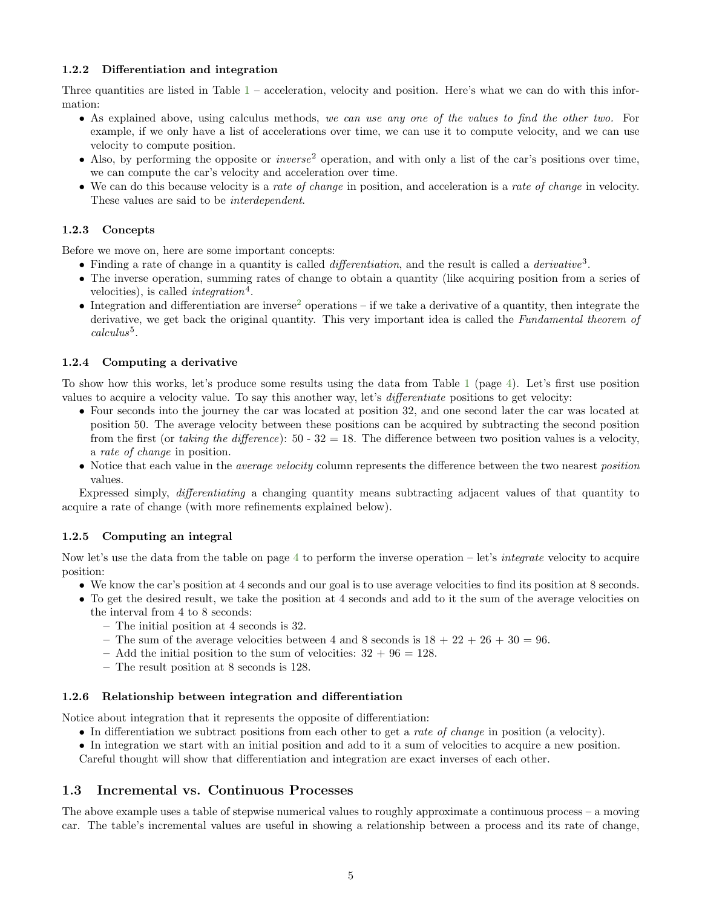### <span id="page-4-0"></span>1.2.2 Differentiation and integration

Three quantities are listed in Table  $1$  – acceleration, velocity and position. Here's what we can do with this information:

- As explained above, using calculus methods, we can use any one of the values to find the other two. For example, if we only have a list of accelerations over time, we can use it to compute velocity, and we can use velocity to compute position.
- Also, by performing the opposite or *inverse*<sup>2</sup> operation, and with only a list of the car's positions over time, we can compute the car's velocity and acceleration over time.
- We can do this because velocity is a rate of change in position, and acceleration is a rate of change in velocity. These values are said to be *interdependent*.

# <span id="page-4-1"></span>1.2.3 Concepts

Before we move on, here are some important concepts:

- Finding a rate of change in a quantity is called *differentiation*, and the result is called a *derivative*<sup>3</sup>.
- The inverse operation, summing rates of change to obtain a quantity (like acquiring position from a series of velocities), is called *integration*<sup>4</sup>.
- Integration and differentiation are inverse<sup>[2](#page-34-2)</sup> operations if we take a derivative of a quantity, then integrate the derivative, we get back the original quantity. This very important idea is called the Fundamental theorem of  $calculus<sup>5</sup>$ .

### <span id="page-4-2"></span>1.2.4 Computing a derivative

To show how this works, let's produce some results using the data from Table [1](#page-3-3) (page [4\)](#page-3-3). Let's first use position values to acquire a velocity value. To say this another way, let's differentiate positions to get velocity:

- Four seconds into the journey the car was located at position 32, and one second later the car was located at position 50. The average velocity between these positions can be acquired by subtracting the second position from the first (or taking the difference): 50 - 32 = 18. The difference between two position values is a velocity, a rate of change in position.
- Notice that each value in the *average velocity* column represents the difference between the two nearest *position* values.

Expressed simply, differentiating a changing quantity means subtracting adjacent values of that quantity to acquire a rate of change (with more refinements explained below).

# <span id="page-4-3"></span>1.2.5 Computing an integral

Now let's use the data from the table on page [4](#page-3-3) to perform the inverse operation – let's *integrate* velocity to acquire position:

- We know the car's position at 4 seconds and our goal is to use average velocities to find its position at 8 seconds.
- To get the desired result, we take the position at 4 seconds and add to it the sum of the average velocities on the interval from 4 to 8 seconds:
	- The initial position at 4 seconds is 32.
	- The sum of the average velocities between 4 and 8 seconds is  $18 + 22 + 26 + 30 = 96$ .
	- Add the initial position to the sum of velocities:  $32 + 96 = 128$ .
	- The result position at 8 seconds is 128.

#### <span id="page-4-4"></span>1.2.6 Relationship between integration and differentiation

Notice about integration that it represents the opposite of differentiation:

- In differentiation we subtract positions from each other to get a rate of change in position (a velocity).
- In integration we start with an initial position and add to it a sum of velocities to acquire a new position.

Careful thought will show that differentiation and integration are exact inverses of each other.

# <span id="page-4-5"></span>1.3 Incremental vs. Continuous Processes

The above example uses a table of stepwise numerical values to roughly approximate a continuous process – a moving car. The table's incremental values are useful in showing a relationship between a process and its rate of change,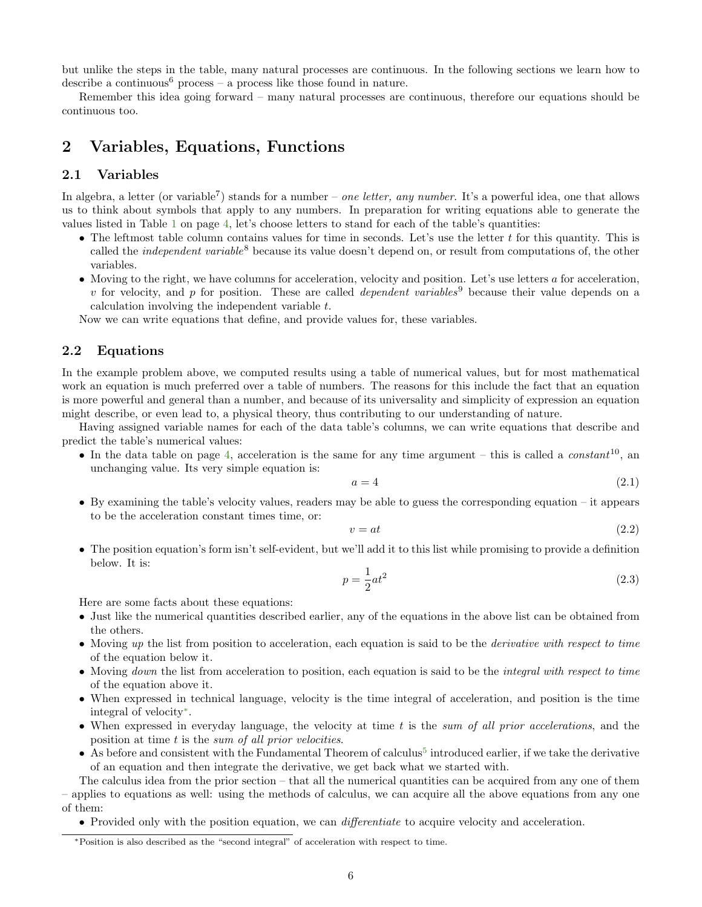but unlike the steps in the table, many natural processes are continuous. In the following sections we learn how to describe a continuous<sup>6</sup> process – a process like those found in nature.

Remember this idea going forward – many natural processes are continuous, therefore our equations should be continuous too.

# <span id="page-5-0"></span>2 Variables, Equations, Functions

# <span id="page-5-1"></span>2.1 Variables

In algebra, a letter (or variable<sup>7</sup>) stands for a number – one letter, any number. It's a powerful idea, one that allows us to think about symbols that apply to any numbers. In preparation for writing equations able to generate the values listed in Table [1](#page-3-3) on page [4,](#page-3-3) let's choose letters to stand for each of the table's quantities:

- The leftmost table column contains values for time in seconds. Let's use the letter  $t$  for this quantity. This is called the *independent variable*<sup>8</sup> because its value doesn't depend on, or result from computations of, the other variables.
- Moving to the right, we have columns for acceleration, velocity and position. Let's use letters a for acceleration, v for velocity, and p for position. These are called *dependent variables*<sup>9</sup> because their value depends on a calculation involving the independent variable t.

Now we can write equations that define, and provide values for, these variables.

# <span id="page-5-2"></span>2.2 Equations

In the example problem above, we computed results using a table of numerical values, but for most mathematical work an equation is much preferred over a table of numbers. The reasons for this include the fact that an equation is more powerful and general than a number, and because of its universality and simplicity of expression an equation might describe, or even lead to, a physical theory, thus contributing to our understanding of nature.

Having assigned variable names for each of the data table's columns, we can write equations that describe and predict the table's numerical values:

• In the data table on page [4,](#page-3-3) acceleration is the same for any time argument – this is called a *constant*<sup>10</sup>, an unchanging value. Its very simple equation is:

$$
a = 4 \tag{2.1}
$$

• By examining the table's velocity values, readers may be able to guess the corresponding equation – it appears to be the acceleration constant times time, or:

$$
v = at \tag{2.2}
$$

• The position equation's form isn't self-evident, but we'll add it to this list while promising to provide a definition below. It is:

$$
p = \frac{1}{2}at^2\tag{2.3}
$$

Here are some facts about these equations:

- Just like the numerical quantities described earlier, any of the equations in the above list can be obtained from the others.
- Moving up the list from position to acceleration, each equation is said to be the *derivative with respect to time* of the equation below it.
- Moving *down* the list from acceleration to position, each equation is said to be the *integral with respect to time* of the equation above it.
- When expressed in technical language, velocity is the time integral of acceleration, and position is the time integral of velocity[∗](#page-5-3) .
- When expressed in everyday language, the velocity at time  $t$  is the sum of all prior accelerations, and the position at time t is the sum of all prior velocities.
- $\bullet$  As before and consistent with the Fundamental Theorem of calculus<sup>[5](#page-34-2)</sup> introduced earlier, if we take the derivative of an equation and then integrate the derivative, we get back what we started with.

The calculus idea from the prior section – that all the numerical quantities can be acquired from any one of them – applies to equations as well: using the methods of calculus, we can acquire all the above equations from any one of them:

• Provided only with the position equation, we can *differentiate* to acquire velocity and acceleration.

<span id="page-5-3"></span><sup>∗</sup>Position is also described as the "second integral" of acceleration with respect to time.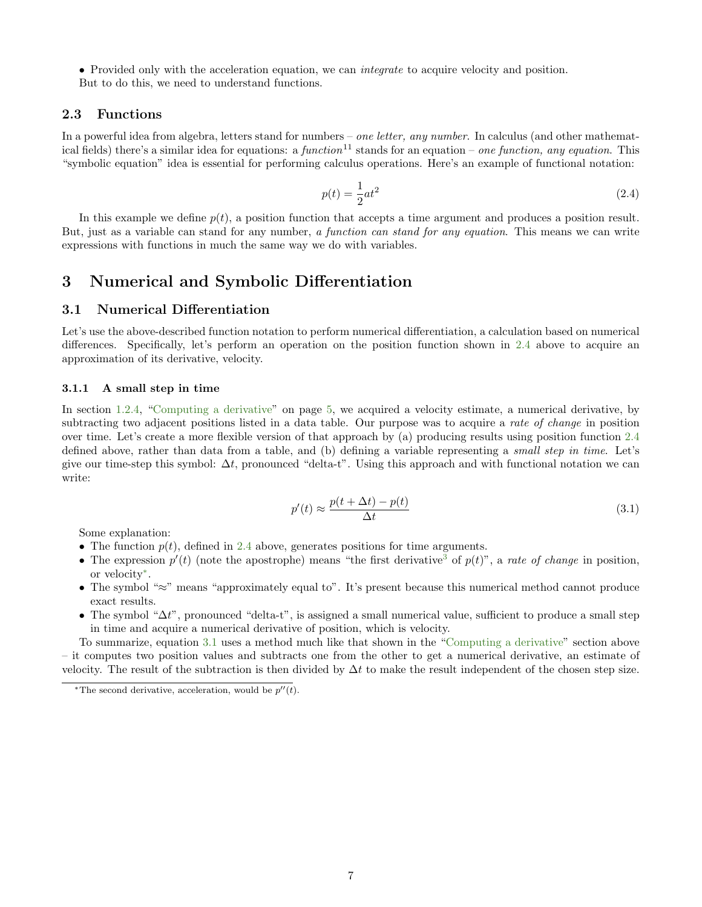• Provided only with the acceleration equation, we can *integrate* to acquire velocity and position. But to do this, we need to understand functions.

# <span id="page-6-0"></span>2.3 Functions

In a powerful idea from algebra, letters stand for numbers – one letter, any number. In calculus (and other mathematical fields) there's a similar idea for equations: a function<sup>11</sup> stands for an equation – one function, any equation. This "symbolic equation" idea is essential for performing calculus operations. Here's an example of functional notation:

<span id="page-6-4"></span>
$$
p(t) = \frac{1}{2}at^2\tag{2.4}
$$

In this example we define  $p(t)$ , a position function that accepts a time argument and produces a position result. But, just as a variable can stand for any number, a function can stand for any equation. This means we can write expressions with functions in much the same way we do with variables.

# <span id="page-6-1"></span>3 Numerical and Symbolic Differentiation

# <span id="page-6-2"></span>3.1 Numerical Differentiation

Let's use the above-described function notation to perform numerical differentiation, a calculation based on numerical differences. Specifically, let's perform an operation on the position function shown in [2.4](#page-6-4) above to acquire an approximation of its derivative, velocity.

#### <span id="page-6-3"></span>3.1.1 A small step in time

In section [1.2.4,](#page-4-2) ["Computing a derivative"](#page-4-2) on page [5,](#page-4-2) we acquired a velocity estimate, a numerical derivative, by subtracting two adjacent positions listed in a data table. Our purpose was to acquire a *rate of change* in position over time. Let's create a more flexible version of that approach by (a) producing results using position function [2.4](#page-6-4) defined above, rather than data from a table, and (b) defining a variable representing a small step in time. Let's give our time-step this symbol:  $\Delta t$ , pronounced "delta-t". Using this approach and with functional notation we can write:

<span id="page-6-6"></span>
$$
p'(t) \approx \frac{p(t + \Delta t) - p(t)}{\Delta t}
$$
\n(3.1)

Some explanation:

- The function  $p(t)$ , defined in [2.4](#page-6-4) above, generates positions for time arguments.
- The expression  $p'(t)$  (note the apostrophe) means "the first derivative<sup>[3](#page-34-2)</sup> of  $p(t)$ ", a rate of change in position, or velocity[∗](#page-6-5) .
- The symbol "≈" means "approximately equal to". It's present because this numerical method cannot produce exact results.
- The symbol " $\Delta t$ ", pronounced "delta-t", is assigned a small numerical value, sufficient to produce a small step in time and acquire a numerical derivative of position, which is velocity.

To summarize, equation [3.1](#page-6-6) uses a method much like that shown in the ["Computing a derivative"](#page-4-2) section above – it computes two position values and subtracts one from the other to get a numerical derivative, an estimate of velocity. The result of the subtraction is then divided by  $\Delta t$  to make the result independent of the chosen step size.

<span id="page-6-5"></span><sup>\*</sup>The second derivative, acceleration, would be  $p''(t)$ .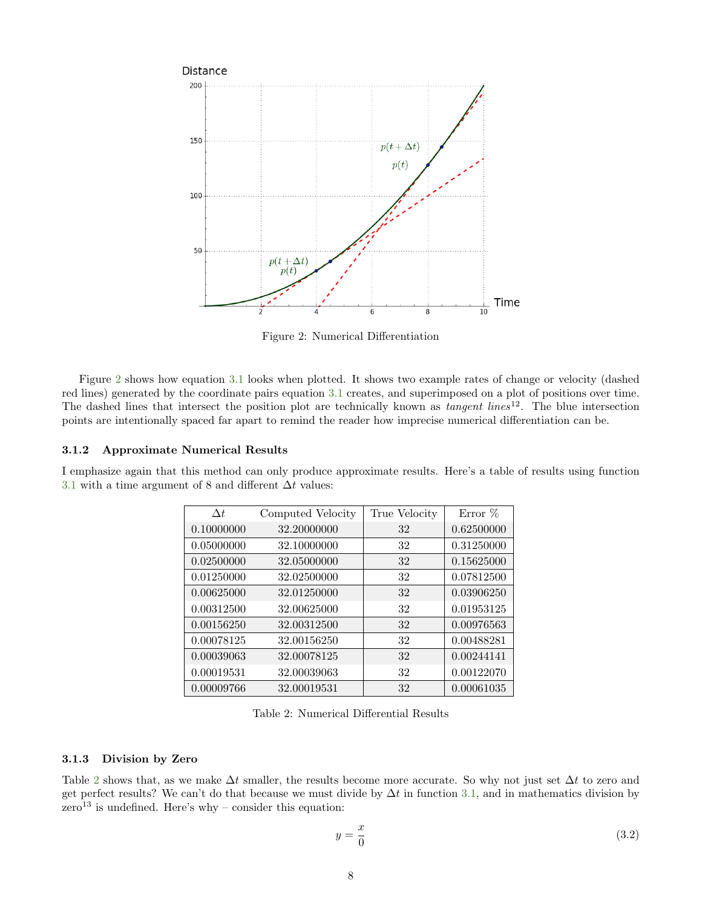<span id="page-7-2"></span>

Figure 2: Numerical Differentiation

Figure [2](#page-7-2) shows how equation [3.1](#page-6-6) looks when plotted. It shows two example rates of change or velocity (dashed red lines) generated by the coordinate pairs equation [3.1](#page-6-6) creates, and superimposed on a plot of positions over time. The dashed lines that intersect the position plot are technically known as *tangent lines*<sup>12</sup>. The blue intersection points are intentionally spaced far apart to remind the reader how imprecise numerical differentiation can be.

#### <span id="page-7-0"></span>3.1.2 Approximate Numerical Results

<span id="page-7-3"></span>I emphasize again that this method can only produce approximate results. Here's a table of results using function [3.1](#page-6-6) with a time argument of 8 and different  $\Delta t$  values:

| $\Delta t$ | Computed Velocity | True Velocity | Error $%$  |
|------------|-------------------|---------------|------------|
| 0.10000000 | 32.20000000       | 32            | 0.62500000 |
| 0.05000000 | 32.10000000       | 32            | 0.31250000 |
| 0.02500000 | 32.05000000       | 32            | 0.15625000 |
| 0.01250000 | 32.02500000       | 32            | 0.07812500 |
| 0.00625000 | 32.01250000       | 32            | 0.03906250 |
| 0.00312500 | 32.00625000       | 32            | 0.01953125 |
| 0.00156250 | 32.00312500       | 32            | 0.00976563 |
| 0.00078125 | 32.00156250       | 32            | 0.00488281 |
| 0.00039063 | 32.00078125       | 32            | 0.00244141 |
| 0.00019531 | 32.00039063       | 32            | 0.00122070 |
| 0.00009766 | 32.00019531       | 32            | 0.00061035 |

Table 2: Numerical Differential Results

#### <span id="page-7-1"></span>3.1.3 Division by Zero

Table [2](#page-7-3) shows that, as we make  $\Delta t$  smaller, the results become more accurate. So why not just set  $\Delta t$  to zero and get perfect results? We can't do that because we must divide by  $\Delta t$  in function [3.1,](#page-6-6) and in mathematics division by  $\text{zero}^{13}$  is undefined. Here's why – consider this equation:

<span id="page-7-4"></span>
$$
y = \frac{x}{0} \tag{3.2}
$$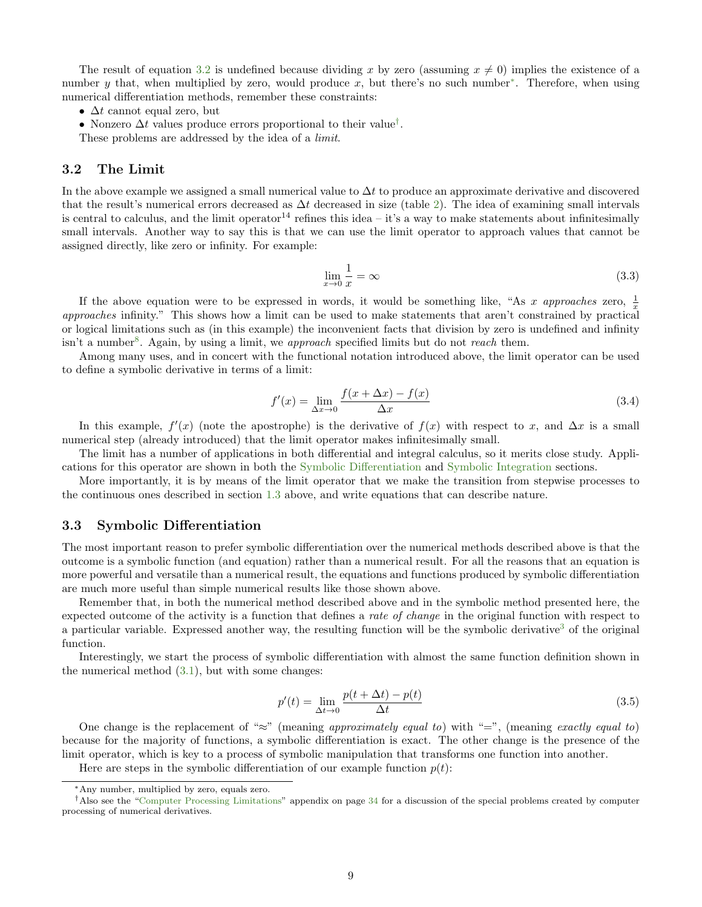The result of equation [3.2](#page-7-4) is undefined because dividing x by zero (assuming  $x \neq 0$ ) implies the existence of a number y that, when multiplied by zero, would produce x, but there's no such number<sup>[∗](#page-8-2)</sup>. Therefore, when using numerical differentiation methods, remember these constraints:

•  $\Delta t$  cannot equal zero, but

• Nonzero  $\Delta t$  values produce errors proportional to their value<sup>[†](#page-8-3)</sup>.

These problems are addressed by the idea of a limit.

### <span id="page-8-0"></span>3.2 The Limit

In the above example we assigned a small numerical value to  $\Delta t$  to produce an approximate derivative and discovered that the result's numerical errors decreased as  $\Delta t$  decreased in size (table [2\)](#page-7-3). The idea of examining small intervals is central to calculus, and the limit operator<sup>14</sup> refines this idea – it's a way to make statements about infinitesimally small intervals. Another way to say this is that we can use the limit operator to approach values that cannot be assigned directly, like zero or infinity. For example:

$$
\lim_{x \to 0} \frac{1}{x} = \infty \tag{3.3}
$$

If the above equation were to be expressed in words, it would be something like, "As x approaches zero,  $\frac{1}{x}$ approaches infinity." This shows how a limit can be used to make statements that aren't constrained by practical or logical limitations such as (in this example) the inconvenient facts that division by zero is undefined and infinity isn't a number<sup>[8](#page-27-1)</sup>. Again, by using a limit, we approach specified limits but do not reach them.

Among many uses, and in concert with the functional notation introduced above, the limit operator can be used to define a symbolic derivative in terms of a limit:

$$
f'(x) = \lim_{\Delta x \to 0} \frac{f(x + \Delta x) - f(x)}{\Delta x}
$$
\n(3.4)

In this example,  $f'(x)$  (note the apostrophe) is the derivative of  $f(x)$  with respect to x, and  $\Delta x$  is a small numerical step (already introduced) that the limit operator makes infinitesimally small.

The limit has a number of applications in both differential and integral calculus, so it merits close study. Applications for this operator are shown in both the [Symbolic Differentiation](#page-8-1) and [Symbolic Integration](#page-10-1) sections.

More importantly, it is by means of the limit operator that we make the transition from stepwise processes to the continuous ones described in section [1.3](#page-4-5) above, and write equations that can describe nature.

### <span id="page-8-1"></span>3.3 Symbolic Differentiation

The most important reason to prefer symbolic differentiation over the numerical methods described above is that the outcome is a symbolic function (and equation) rather than a numerical result. For all the reasons that an equation is more powerful and versatile than a numerical result, the equations and functions produced by symbolic differentiation are much more useful than simple numerical results like those shown above.

Remember that, in both the numerical method described above and in the symbolic method presented here, the expected outcome of the activity is a function that defines a *rate of change* in the original function with respect to a particular variable. Expressed another way, the resulting function will be the symbolic derivative<sup>[3](#page-34-2)</sup> of the original function.

Interestingly, we start the process of symbolic differentiation with almost the same function definition shown in the numerical method [\(3.1\)](#page-6-6), but with some changes:

$$
p'(t) = \lim_{\Delta t \to 0} \frac{p(t + \Delta t) - p(t)}{\Delta t}
$$
\n(3.5)

One change is the replacement of "≈" (meaning approximately equal to) with "=", (meaning exactly equal to) because for the majority of functions, a symbolic differentiation is exact. The other change is the presence of the limit operator, which is key to a process of symbolic manipulation that transforms one function into another.

Here are steps in the symbolic differentiation of our example function  $p(t)$ :

<span id="page-8-3"></span><span id="page-8-2"></span><sup>∗</sup>Any number, multiplied by zero, equals zero.

<sup>†</sup>Also see the ["Computer Processing Limitations"](#page-33-2) appendix on page [34](#page-33-2) for a discussion of the special problems created by computer processing of numerical derivatives.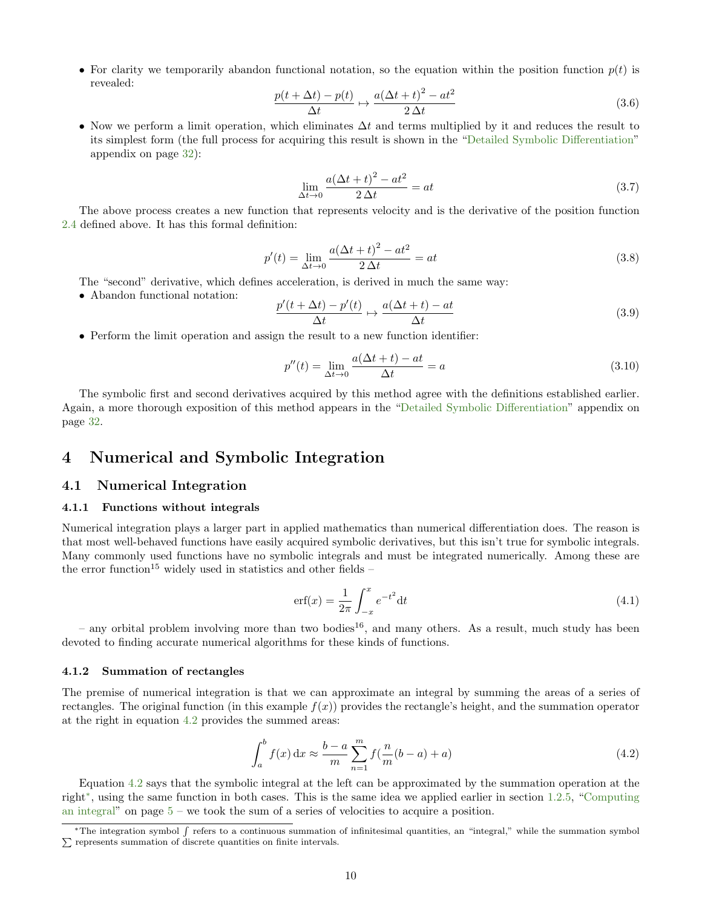• For clarity we temporarily abandon functional notation, so the equation within the position function  $p(t)$  is revealed:

$$
\frac{p(t + \Delta t) - p(t)}{\Delta t} \mapsto \frac{a(\Delta t + t)^2 - at^2}{2\Delta t}
$$
\n(3.6)

• Now we perform a limit operation, which eliminates  $\Delta t$  and terms multiplied by it and reduces the result to its simplest form (the full process for acquiring this result is shown in the ["Detailed Symbolic Differentiation"](#page-31-5) appendix on page [32\)](#page-31-5):

$$
\lim_{\Delta t \to 0} \frac{a(\Delta t + t)^2 - at^2}{2\Delta t} = at \tag{3.7}
$$

The above process creates a new function that represents velocity and is the derivative of the position function [2.4](#page-6-4) defined above. It has this formal definition:

$$
p'(t) = \lim_{\Delta t \to 0} \frac{a(\Delta t + t)^2 - at^2}{2\Delta t} = at
$$
\n(3.8)

The "second" derivative, which defines acceleration, is derived in much the same way:

• Abandon functional notation:

$$
\frac{p'(t + \Delta t) - p'(t)}{\Delta t} \mapsto \frac{a(\Delta t + t) - at}{\Delta t}
$$
\n(3.9)

• Perform the limit operation and assign the result to a new function identifier:

$$
p''(t) = \lim_{\Delta t \to 0} \frac{a(\Delta t + t) - at}{\Delta t} = a \tag{3.10}
$$

The symbolic first and second derivatives acquired by this method agree with the definitions established earlier. Again, a more thorough exposition of this method appears in the ["Detailed Symbolic Differentiation"](#page-31-5) appendix on page [32.](#page-31-5)

# <span id="page-9-0"></span>4 Numerical and Symbolic Integration

#### <span id="page-9-1"></span>4.1 Numerical Integration

#### <span id="page-9-2"></span>4.1.1 Functions without integrals

Numerical integration plays a larger part in applied mathematics than numerical differentiation does. The reason is that most well-behaved functions have easily acquired symbolic derivatives, but this isn't true for symbolic integrals. Many commonly used functions have no symbolic integrals and must be integrated numerically. Among these are the error function<sup>15</sup> widely used in statistics and other fields –

$$
erf(x) = \frac{1}{2\pi} \int_{-x}^{x} e^{-t^2} dt
$$
\n(4.1)

– any orbital problem involving more than two bodies<sup>16</sup>, and many others. As a result, much study has been devoted to finding accurate numerical algorithms for these kinds of functions.

#### <span id="page-9-3"></span>4.1.2 Summation of rectangles

The premise of numerical integration is that we can approximate an integral by summing the areas of a series of rectangles. The original function (in this example  $f(x)$ ) provides the rectangle's height, and the summation operator at the right in equation [4.2](#page-9-4) provides the summed areas:

<span id="page-9-4"></span>
$$
\int_{a}^{b} f(x) dx \approx \frac{b-a}{m} \sum_{n=1}^{m} f\left(\frac{n}{m}(b-a) + a\right)
$$
\n(4.2)

Equation [4.2](#page-9-4) says that the symbolic integral at the left can be approximated by the summation operation at the right[∗](#page-9-5) , using the same function in both cases. This is the same idea we applied earlier in section [1.2.5,](#page-4-3) ["Computing](#page-4-3) [an integral"](#page-4-3) on page  $5 5 -$  we took the sum of a series of velocities to acquire a position.

<span id="page-9-5"></span><sup>\*</sup>The integration symbol f refers to a continuous summation of infinitesimal quantities, an "integral," while the summation symbol  $\Sigma$  represents summation of discrete quantities on finite intervals.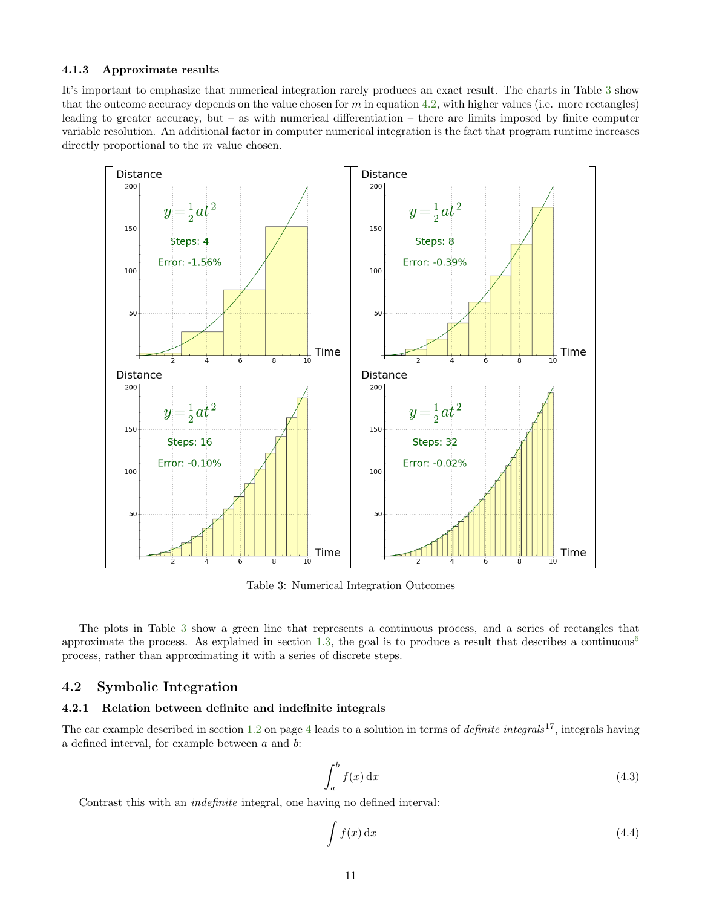#### <span id="page-10-0"></span>4.1.3 Approximate results

It's important to emphasize that numerical integration rarely produces an exact result. The charts in Table [3](#page-10-3) show that the outcome accuracy depends on the value chosen for  $m$  in equation [4.2,](#page-9-4) with higher values (i.e. more rectangles) leading to greater accuracy, but – as with numerical differentiation – there are limits imposed by finite computer variable resolution. An additional factor in computer numerical integration is the fact that program runtime increases directly proportional to the m value chosen.

<span id="page-10-3"></span>

Table 3: Numerical Integration Outcomes

The plots in Table [3](#page-10-3) show a green line that represents a continuous process, and a series of rectangles that approximate the process. As explained in section [1.3,](#page-4-5) the goal is to produce a result that describes a continuous $<sup>6</sup>$  $<sup>6</sup>$  $<sup>6</sup>$ </sup> process, rather than approximating it with a series of discrete steps.

# <span id="page-10-1"></span>4.2 Symbolic Integration

#### <span id="page-10-2"></span>4.2.1 Relation between definite and indefinite integrals

The car example described in section [1.2](#page-3-1) on page [4](#page-3-1) leads to a solution in terms of *definite integrals*<sup>17</sup>, integrals having a defined interval, for example between a and b:

$$
\int_{a}^{b} f(x) \, \mathrm{d}x \tag{4.3}
$$

Contrast this with an indefinite integral, one having no defined interval:

$$
\int f(x) \, \mathrm{d}x \tag{4.4}
$$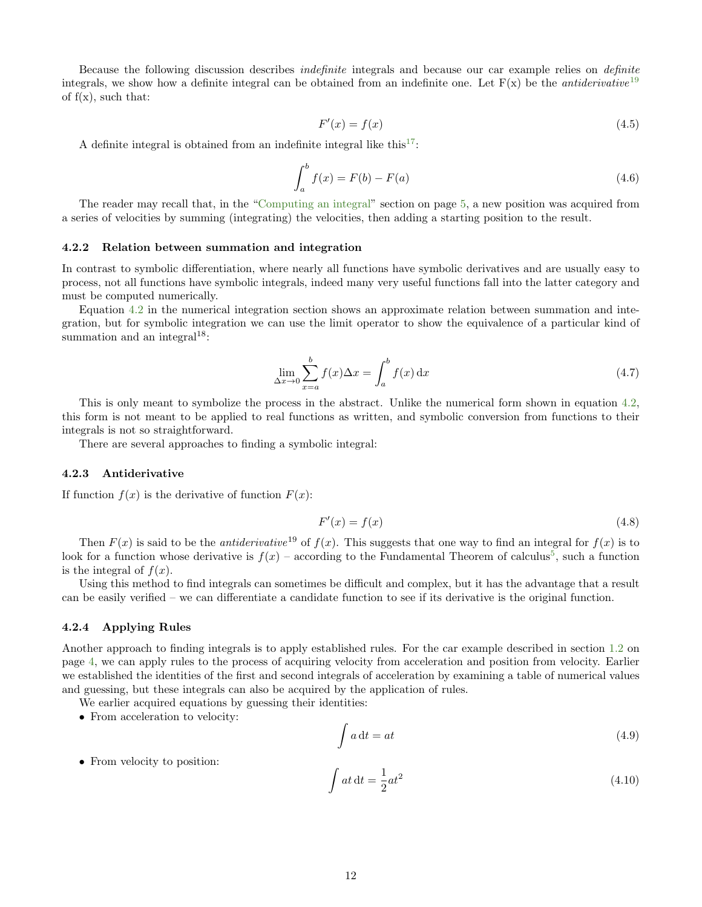Because the following discussion describes indefinite integrals and because our car example relies on definite integrals, we show how a definite integral can be obtained from an indefinite one. Let  $F(x)$  be the *antiderivative*<sup>[19](#page-34-2)</sup> of  $f(x)$ , such that:

$$
F'(x) = f(x) \tag{4.5}
$$

A definite integral is obtained from an indefinite integral like this<sup>[17](#page-34-2)</sup>:

$$
\int_{a}^{b} f(x) = F(b) - F(a)
$$
\n(4.6)

The reader may recall that, in the ["Computing an integral"](#page-4-3) section on page [5,](#page-4-3) a new position was acquired from a series of velocities by summing (integrating) the velocities, then adding a starting position to the result.

#### <span id="page-11-0"></span>4.2.2 Relation between summation and integration

In contrast to symbolic differentiation, where nearly all functions have symbolic derivatives and are usually easy to process, not all functions have symbolic integrals, indeed many very useful functions fall into the latter category and must be computed numerically.

Equation [4.2](#page-9-4) in the numerical integration section shows an approximate relation between summation and integration, but for symbolic integration we can use the limit operator to show the equivalence of a particular kind of summation and an integral $18$ :

$$
\lim_{\Delta x \to 0} \sum_{x=a}^{b} f(x) \Delta x = \int_{a}^{b} f(x) dx \tag{4.7}
$$

This is only meant to symbolize the process in the abstract. Unlike the numerical form shown in equation [4.2,](#page-9-4) this form is not meant to be applied to real functions as written, and symbolic conversion from functions to their integrals is not so straightforward.

There are several approaches to finding a symbolic integral:

#### <span id="page-11-1"></span>4.2.3 Antiderivative

If function  $f(x)$  is the derivative of function  $F(x)$ :

$$
F'(x) = f(x) \tag{4.8}
$$

Then  $F(x)$  is said to be the *antiderivative*<sup>19</sup> of  $f(x)$ . This suggests that one way to find an integral for  $f(x)$  is to look for a function whose derivative is  $f(x)$  – according to the Fundamental Theorem of calculus<sup>[5](#page-34-2)</sup>, such a function is the integral of  $f(x)$ .

Using this method to find integrals can sometimes be difficult and complex, but it has the advantage that a result can be easily verified – we can differentiate a candidate function to see if its derivative is the original function.

#### <span id="page-11-2"></span>4.2.4 Applying Rules

Another approach to finding integrals is to apply established rules. For the car example described in section [1.2](#page-3-1) on page [4,](#page-3-1) we can apply rules to the process of acquiring velocity from acceleration and position from velocity. Earlier we established the identities of the first and second integrals of acceleration by examining a table of numerical values and guessing, but these integrals can also be acquired by the application of rules.

We earlier acquired equations by guessing their identities:

• From acceleration to velocity:

<span id="page-11-3"></span>
$$
\int a \, \mathrm{d}t = at \tag{4.9}
$$

• From velocity to position:

<span id="page-11-4"></span>
$$
\int at \, \mathrm{d}t = \frac{1}{2}at^2 \tag{4.10}
$$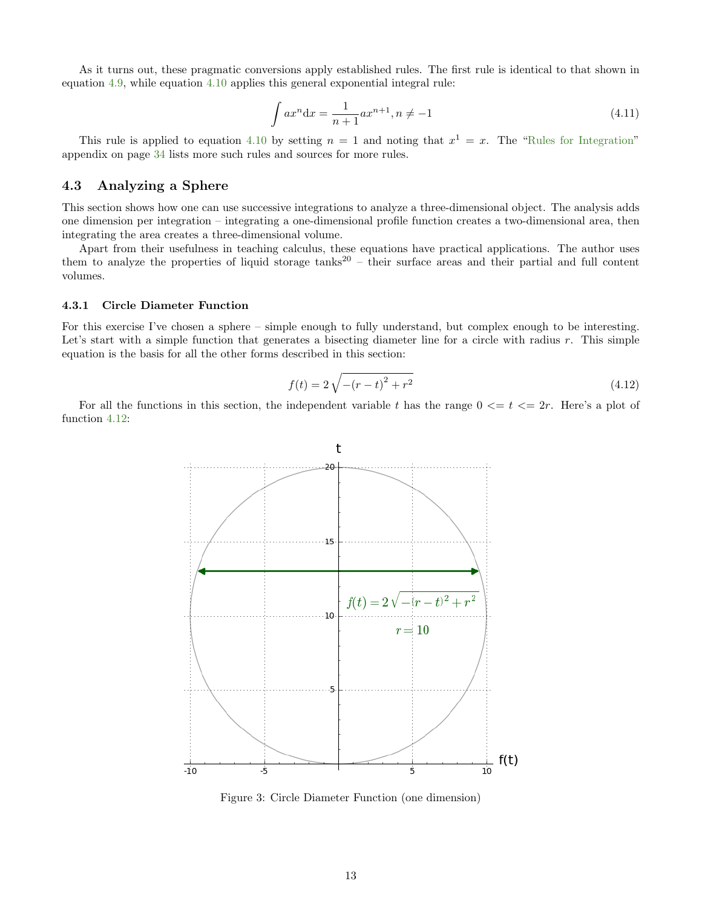As it turns out, these pragmatic conversions apply established rules. The first rule is identical to that shown in equation [4.9,](#page-11-3) while equation [4.10](#page-11-4) applies this general exponential integral rule:

$$
\int ax^n dx = \frac{1}{n+1}ax^{n+1}, n \neq -1
$$
\n(4.11)

This rule is applied to equation [4.10](#page-11-4) by setting  $n = 1$  and noting that  $x^1 = x$ . The ["Rules for Integration"](#page-33-1) appendix on page [34](#page-33-1) lists more such rules and sources for more rules.

# <span id="page-12-0"></span>4.3 Analyzing a Sphere

This section shows how one can use successive integrations to analyze a three-dimensional object. The analysis adds one dimension per integration – integrating a one-dimensional profile function creates a two-dimensional area, then integrating the area creates a three-dimensional volume.

Apart from their usefulness in teaching calculus, these equations have practical applications. The author uses them to analyze the properties of liquid storage tanks<sup>20</sup> – their surface areas and their partial and full content volumes.

#### <span id="page-12-1"></span>4.3.1 Circle Diameter Function

For this exercise I've chosen a sphere – simple enough to fully understand, but complex enough to be interesting. Let's start with a simple function that generates a bisecting diameter line for a circle with radius  $r$ . This simple equation is the basis for all the other forms described in this section:

<span id="page-12-3"></span>
$$
f(t) = 2\sqrt{-(r-t)^2 + r^2}
$$
\n(4.12)

<span id="page-12-2"></span>For all the functions in this section, the independent variable t has the range  $0 \le t \le 2r$ . Here's a plot of function [4.12:](#page-12-3)



Figure 3: Circle Diameter Function (one dimension)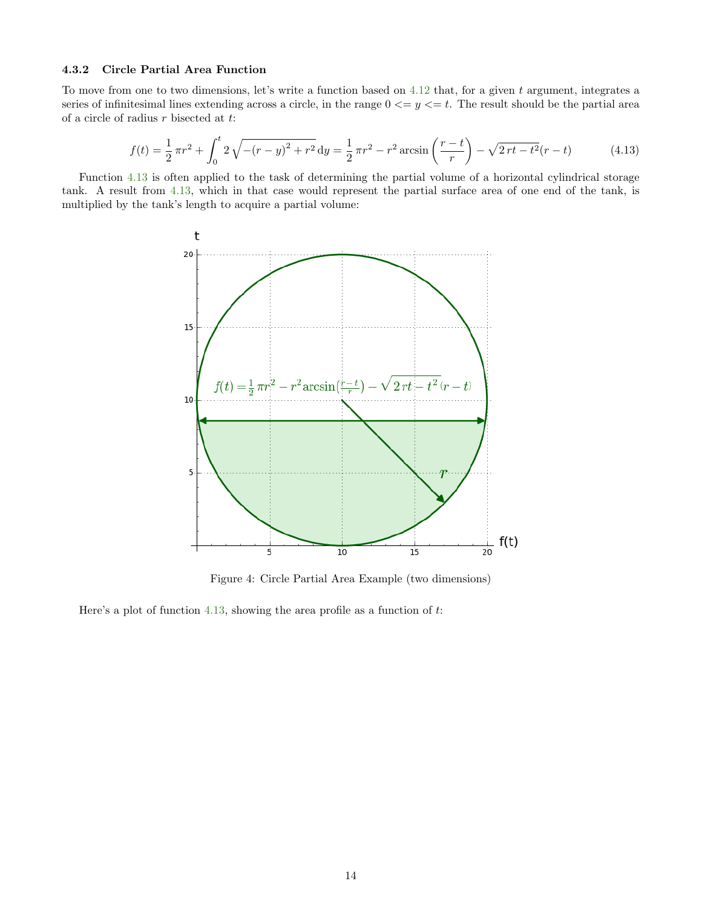#### <span id="page-13-0"></span>4.3.2 Circle Partial Area Function

To move from one to two dimensions, let's write a function based on  $4.12$  that, for a given t argument, integrates a series of infinitesimal lines extending across a circle, in the range  $0 \le y \le t$ . The result should be the partial area of a circle of radius  $r$  bisected at  $t$ :

<span id="page-13-2"></span>
$$
f(t) = \frac{1}{2}\pi r^2 + \int_0^t 2\sqrt{-(r-y)^2 + r^2} \, dy = \frac{1}{2}\pi r^2 - r^2 \arcsin\left(\frac{r-t}{r}\right) - \sqrt{2rt - t^2}(r-t)
$$
(4.13)

<span id="page-13-1"></span>Function [4.13](#page-13-2) is often applied to the task of determining the partial volume of a horizontal cylindrical storage tank. A result from [4.13,](#page-13-2) which in that case would represent the partial surface area of one end of the tank, is multiplied by the tank's length to acquire a partial volume:



Figure 4: Circle Partial Area Example (two dimensions)

Here's a plot of function [4.13,](#page-13-2) showing the area profile as a function of  $t$ .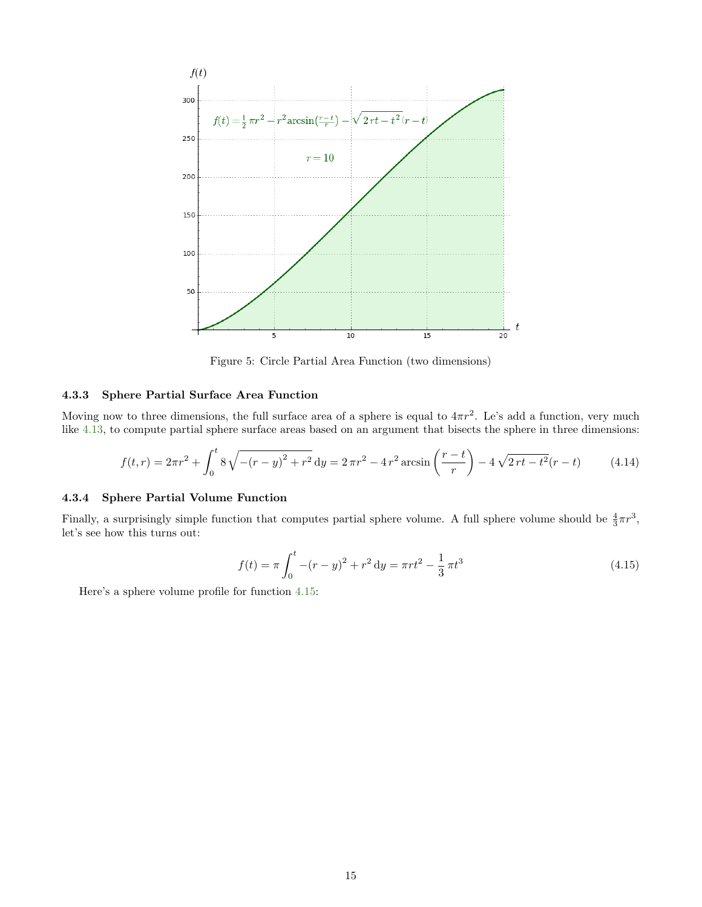<span id="page-14-2"></span>

Figure 5: Circle Partial Area Function (two dimensions)

### <span id="page-14-0"></span>4.3.3 Sphere Partial Surface Area Function

Moving now to three dimensions, the full surface area of a sphere is equal to  $4\pi r^2$ . Le's add a function, very much like [4.13,](#page-13-2) to compute partial sphere surface areas based on an argument that bisects the sphere in three dimensions:

$$
f(t,r) = 2\pi r^2 + \int_0^t 8\sqrt{-(r-y)^2 + r^2} \, dy = 2\pi r^2 - 4r^2 \arcsin\left(\frac{r-t}{r}\right) - 4\sqrt{2rt - t^2}(r-t)
$$
(4.14)

#### <span id="page-14-1"></span>4.3.4 Sphere Partial Volume Function

Finally, a surprisingly simple function that computes partial sphere volume. A full sphere volume should be  $\frac{4}{3}\pi r^3$ , let's see how this turns out:

<span id="page-14-3"></span>
$$
f(t) = \pi \int_0^t -(r - y)^2 + r^2 dy = \pi r t^2 - \frac{1}{3} \pi t^3
$$
\n(4.15)

Here's a sphere volume profile for function [4.15:](#page-14-3)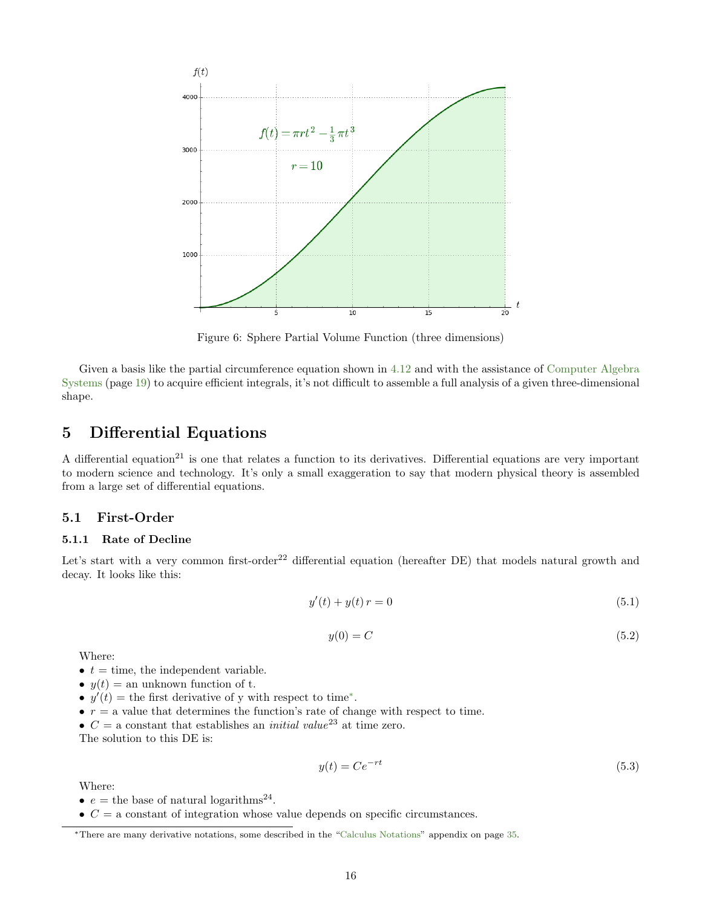<span id="page-15-3"></span>

Figure 6: Sphere Partial Volume Function (three dimensions)

Given a basis like the partial circumference equation shown in [4.12](#page-12-3) and with the assistance of [Computer Algebra](#page-18-0) [Systems](#page-18-0) (page [19\)](#page-18-0) to acquire efficient integrals, it's not difficult to assemble a full analysis of a given three-dimensional shape.

# <span id="page-15-0"></span>5 Differential Equations

A differential equation<sup>21</sup> is one that relates a function to its derivatives. Differential equations are very important to modern science and technology. It's only a small exaggeration to say that modern physical theory is assembled from a large set of differential equations.

# <span id="page-15-1"></span>5.1 First-Order

#### <span id="page-15-2"></span>5.1.1 Rate of Decline

Let's start with a very common first-order<sup>22</sup> differential equation (hereafter DE) that models natural growth and decay. It looks like this:

<span id="page-15-5"></span>
$$
y'(t) + y(t) r = 0 \tag{5.1}
$$

$$
y(0) = C \tag{5.2}
$$

Where:

- $t =$  time, the independent variable.
- $y(t) =$  an unknown function of t.
- $y'(t)$  = the first derivative of y with respect to time<sup>\*</sup>.
- $r = a$  value that determines the function's rate of change with respect to time.
- $C = a$  constant that establishes an *initial value*<sup>23</sup> at time zero.

The solution to this DE is:

<span id="page-15-6"></span>
$$
y(t) = Ce^{-rt}
$$
\n
$$
(5.3)
$$

Where:

- $e =$  the base of natural logarithms<sup>24</sup>.
- $\bullet$   $C = a$  constant of integration whose value depends on specific circumstances.

<span id="page-15-4"></span><sup>∗</sup>There are many derivative notations, some described in the ["Calculus Notations"](#page-34-0) appendix on page [35.](#page-34-0)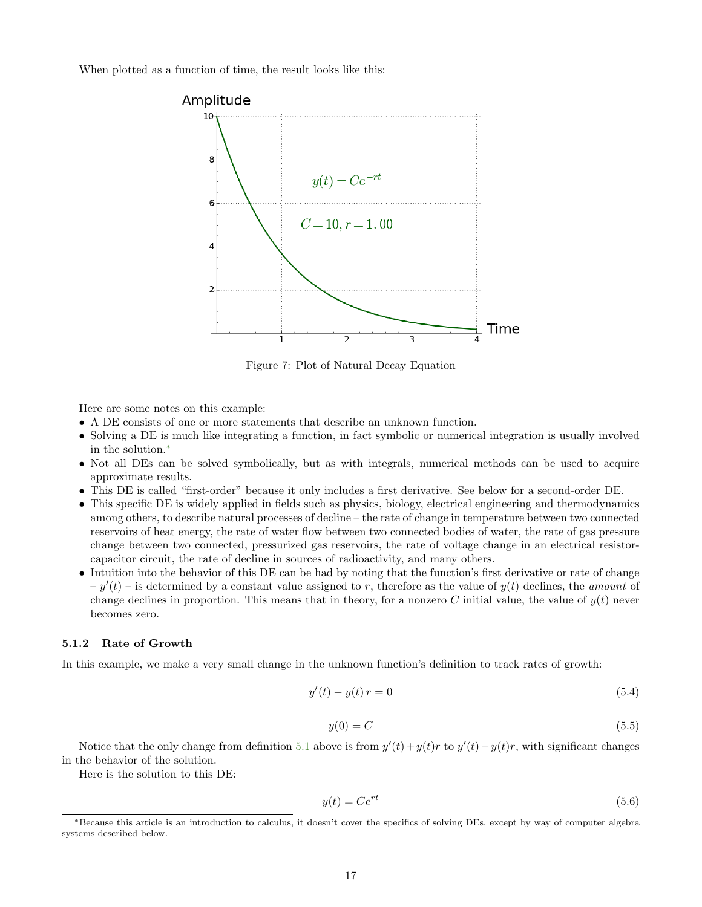<span id="page-16-1"></span>When plotted as a function of time, the result looks like this:



Figure 7: Plot of Natural Decay Equation

Here are some notes on this example:

- A DE consists of one or more statements that describe an unknown function.
- Solving a DE is much like integrating a function, in fact symbolic or numerical integration is usually involved in the solution.[∗](#page-16-2)
- Not all DEs can be solved symbolically, but as with integrals, numerical methods can be used to acquire approximate results.
- This DE is called "first-order" because it only includes a first derivative. See below for a second-order DE.
- This specific DE is widely applied in fields such as physics, biology, electrical engineering and thermodynamics among others, to describe natural processes of decline – the rate of change in temperature between two connected reservoirs of heat energy, the rate of water flow between two connected bodies of water, the rate of gas pressure change between two connected, pressurized gas reservoirs, the rate of voltage change in an electrical resistorcapacitor circuit, the rate of decline in sources of radioactivity, and many others.
- Intuition into the behavior of this DE can be had by noting that the function's first derivative or rate of change  $-y'(t)$  – is determined by a constant value assigned to r, therefore as the value of  $y(t)$  declines, the amount of change declines in proportion. This means that in theory, for a nonzero C initial value, the value of  $y(t)$  never becomes zero.

#### <span id="page-16-0"></span>5.1.2 Rate of Growth

In this example, we make a very small change in the unknown function's definition to track rates of growth:

$$
y'(t) - y(t) r = 0 \tag{5.4}
$$

$$
y(0) = C \tag{5.5}
$$

Notice that the only change from definition [5.1](#page-15-5) above is from  $y'(t) + y(t)r$  to  $y'(t) - y(t)r$ , with significant changes in the behavior of the solution.

Here is the solution to this DE:

$$
y(t) = Ce^{rt}
$$
\n<sup>(5.6)</sup>

<span id="page-16-2"></span><sup>∗</sup>Because this article is an introduction to calculus, it doesn't cover the specifics of solving DEs, except by way of computer algebra systems described below.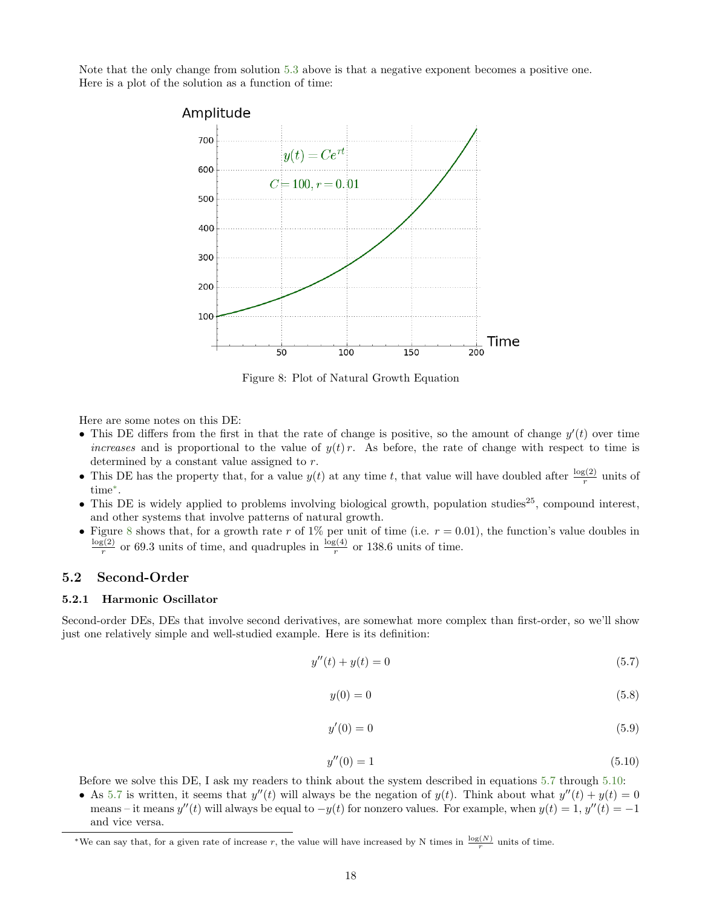<span id="page-17-2"></span>Note that the only change from solution [5.3](#page-15-6) above is that a negative exponent becomes a positive one. Here is a plot of the solution as a function of time:



Figure 8: Plot of Natural Growth Equation

Here are some notes on this DE:

- This DE differs from the first in that the rate of change is positive, so the amount of change  $y'(t)$  over time increases and is proportional to the value of  $y(t)r$ . As before, the rate of change with respect to time is determined by a constant value assigned to r.
- This DE has the property that, for a value  $y(t)$  at any time t, that value will have doubled after  $\frac{\log(2)}{r}$  units of time[∗](#page-17-3) .
- This DE is widely applied to problems involving biological growth, population studies<sup>25</sup>, compound interest, and other systems that involve patterns of natural growth.
- Figure [8](#page-17-2) shows that, for a growth rate r of 1% per unit of time (i.e.  $r = 0.01$ ), the function's value doubles in  $log(2)$  $\frac{\log(2)}{r}$  or 69.3 units of time, and quadruples in  $\frac{\log(4)}{r}$  or 138.6 units of time.

#### <span id="page-17-0"></span>5.2 Second-Order

#### <span id="page-17-1"></span>5.2.1 Harmonic Oscillator

Second-order DEs, DEs that involve second derivatives, are somewhat more complex than first-order, so we'll show just one relatively simple and well-studied example. Here is its definition:

<span id="page-17-4"></span>
$$
y''(t) + y(t) = 0 \tag{5.7}
$$

$$
y(0) = 0\tag{5.8}
$$

$$
y'(0) = 0 \tag{5.9}
$$

<span id="page-17-5"></span>
$$
y''(0) = 1 \tag{5.10}
$$

Before we solve this DE, I ask my readers to think about the system described in equations [5.7](#page-17-4) through [5.10:](#page-17-5)

• As [5.7](#page-17-4) is written, it seems that  $y''(t)$  will always be the negation of  $y(t)$ . Think about what  $y''(t) + y(t) = 0$ means – it means  $y''(t)$  will always be equal to  $-y(t)$  for nonzero values. For example, when  $y(t) = 1$ ,  $y''(t) = -1$ and vice versa.

<span id="page-17-3"></span><sup>\*</sup>We can say that, for a given rate of increase r, the value will have increased by N times in  $\frac{\log(N)}{r}$  units of time.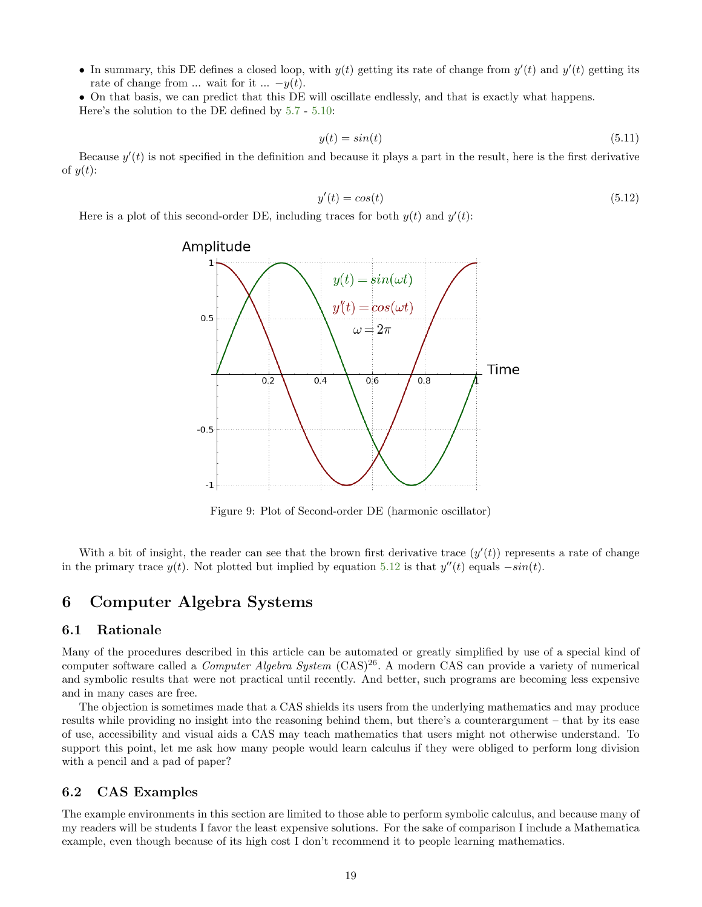• In summary, this DE defines a closed loop, with  $y(t)$  getting its rate of change from  $y'(t)$  and  $y'(t)$  getting its rate of change from ... wait for it ...  $-y(t)$ .

• On that basis, we can predict that this DE will oscillate endlessly, and that is exactly what happens. Here's the solution to the DE defined by [5.7](#page-17-4) - [5.10:](#page-17-5)

$$
y(t) = \sin(t) \tag{5.11}
$$

Because  $y'(t)$  is not specified in the definition and because it plays a part in the result, here is the first derivative of  $y(t)$ :

<span id="page-18-4"></span>
$$
y'(t) = \cos(t) \tag{5.12}
$$

<span id="page-18-3"></span>Here is a plot of this second-order DE, including traces for both  $y(t)$  and  $y'(t)$ :



Figure 9: Plot of Second-order DE (harmonic oscillator)

With a bit of insight, the reader can see that the brown first derivative trace  $(y'(t))$  represents a rate of change in the primary trace  $y(t)$ . Not plotted but implied by equation [5.12](#page-18-4) is that  $y''(t)$  equals  $-sin(t)$ .

# <span id="page-18-0"></span>6 Computer Algebra Systems

# <span id="page-18-1"></span>6.1 Rationale

Many of the procedures described in this article can be automated or greatly simplified by use of a special kind of computer software called a *Computer Algebra System*  $(CAS)^{26}$ . A modern CAS can provide a variety of numerical and symbolic results that were not practical until recently. And better, such programs are becoming less expensive and in many cases are free.

The objection is sometimes made that a CAS shields its users from the underlying mathematics and may produce results while providing no insight into the reasoning behind them, but there's a counterargument – that by its ease of use, accessibility and visual aids a CAS may teach mathematics that users might not otherwise understand. To support this point, let me ask how many people would learn calculus if they were obliged to perform long division with a pencil and a pad of paper?

# <span id="page-18-2"></span>6.2 CAS Examples

The example environments in this section are limited to those able to perform symbolic calculus, and because many of my readers will be students I favor the least expensive solutions. For the sake of comparison I include a Mathematica example, even though because of its high cost I don't recommend it to people learning mathematics.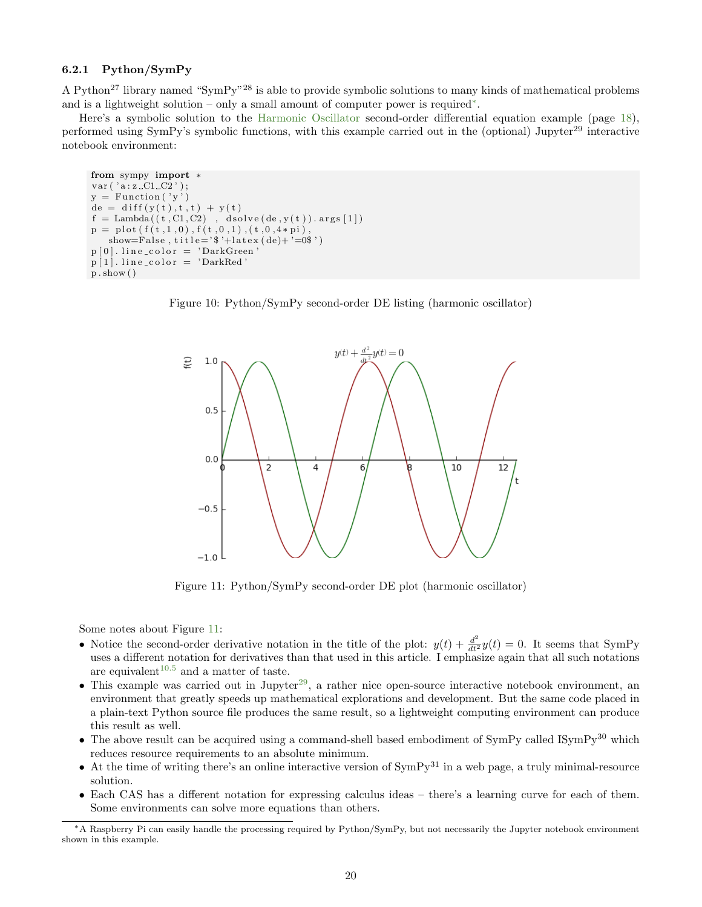# <span id="page-19-0"></span>6.2.1 Python/SymPy

A Python<sup>27</sup> library named "SymPy"<sup>28</sup> is able to provide symbolic solutions to many kinds of mathematical problems and is a lightweight solution – only a small amount of computer power is required[∗](#page-19-3) .

Here's a symbolic solution to the [Harmonic Oscillator](#page-17-1) second-order differential equation example (page [18\)](#page-17-1), performed using SymPy's symbolic functions, with this example carried out in the (optional) Jupyter<sup>29</sup> interactive notebook environment:

```
from sympy import *var ( ' a : z \_C1\_C2 ' );y = Function (y')de = diff(y(t), t, t) + y(t)\label{eq:3} \textit{f = Lambda} \left( \left( \textit{t} \,, \textit{C1}, \textit{C2} \right) \  \, , \  \, \textit{dsolve}\left( \textit{de}\,, \textit{y}\left( \textit{t} \right) \right) . \, \textit{args}\left[ \textit{1} \right] \right)p = plot(f(t, 1, 0), f(t, 0, 1), (t, 0, 4*pi),show=False, title='$'+latex(de)+'=0$')
p[0]. line_color = 'DarkGreen'
p [1]. line_color = 'DarkRed
p. show ()
```
<span id="page-19-2"></span>



Figure 11: Python/SymPy second-order DE plot (harmonic oscillator)

Some notes about Figure [11:](#page-19-2)

- Notice the second-order derivative notation in the title of the plot:  $y(t) + \frac{d^2}{dt^2}y(t) = 0$ . It seems that SymPy uses a different notation for derivatives than that used in this article. I emphasize again that all such notations are equivalent<sup>[10.5](#page-34-0)</sup> and a matter of taste.
- This example was carried out in Jupyter<sup>[29](#page-34-2)</sup>, a rather nice open-source interactive notebook environment, an environment that greatly speeds up mathematical explorations and development. But the same code placed in a plain-text Python source file produces the same result, so a lightweight computing environment can produce this result as well.
- The above result can be acquired using a command-shell based embodiment of  $\text{SymPy}$  called  $\text{ISymPy}^{30}$  which reduces resource requirements to an absolute minimum.
- At the time of writing there's an online interactive version of  $\text{SymPy}^{31}$  in a web page, a truly minimal-resource solution.
- Each CAS has a different notation for expressing calculus ideas there's a learning curve for each of them. Some environments can solve more equations than others.

<span id="page-19-3"></span><sup>∗</sup>A Raspberry Pi can easily handle the processing required by Python/SymPy, but not necessarily the Jupyter notebook environment shown in this example.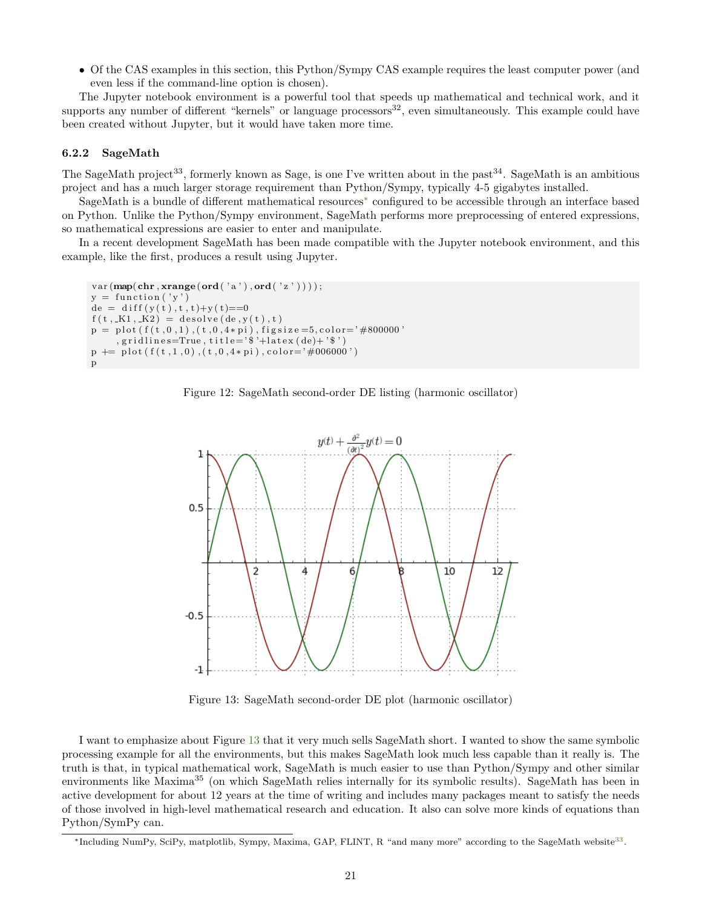• Of the CAS examples in this section, this Python/Sympy CAS example requires the least computer power (and even less if the command-line option is chosen).

The Jupyter notebook environment is a powerful tool that speeds up mathematical and technical work, and it supports any number of different "kernels" or language processors $^{32}$ , even simultaneously. This example could have been created without Jupyter, but it would have taken more time.

#### <span id="page-20-0"></span>6.2.2 SageMath

The SageMath project<sup>33</sup>, formerly known as Sage, is one I've written about in the past<sup>34</sup>. SageMath is an ambitious project and has a much larger storage requirement than Python/Sympy, typically 4-5 gigabytes installed.

SageMath is a bundle of different mathematical resources[∗](#page-20-3) configured to be accessible through an interface based on Python. Unlike the Python/Sympy environment, SageMath performs more preprocessing of entered expressions, so mathematical expressions are easier to enter and manipulate.

<span id="page-20-1"></span>In a recent development SageMath has been made compatible with the Jupyter notebook environment, and this example, like the first, produces a result using Jupyter.

```
var(map(char,xrange(ord('a'),ord('z'))));y = function('y')de = diff(y(t), t, t) + y(t) = 0f(t, K1, K2) = desolve(de, y(t), t)p = plot(f(t, 0, 1), (t, 0, 4*pi), figsize=5, color=7#800000', grid lines = True, title = ' * + latex (de) + ' * ')
p \text{ +}= \text{ plot } (f(t,1,0), (t,0,4*pi), color='#006000')p
```


<span id="page-20-2"></span>

Figure 13: SageMath second-order DE plot (harmonic oscillator)

I want to emphasize about Figure [13](#page-20-2) that it very much sells SageMath short. I wanted to show the same symbolic processing example for all the environments, but this makes SageMath look much less capable than it really is. The truth is that, in typical mathematical work, SageMath is much easier to use than Python/Sympy and other similar environments like Maxima<sup>35</sup> (on which SageMath relies internally for its symbolic results). SageMath has been in active development for about 12 years at the time of writing and includes many packages meant to satisfy the needs of those involved in high-level mathematical research and education. It also can solve more kinds of equations than Python/SymPy can.

<span id="page-20-3"></span><sup>\*</sup>Including NumPy, SciPy, matplotlib, Sympy, Maxima, GAP, FLINT, R "and many more" according to the SageMath website<sup>[33](#page-34-2)</sup>.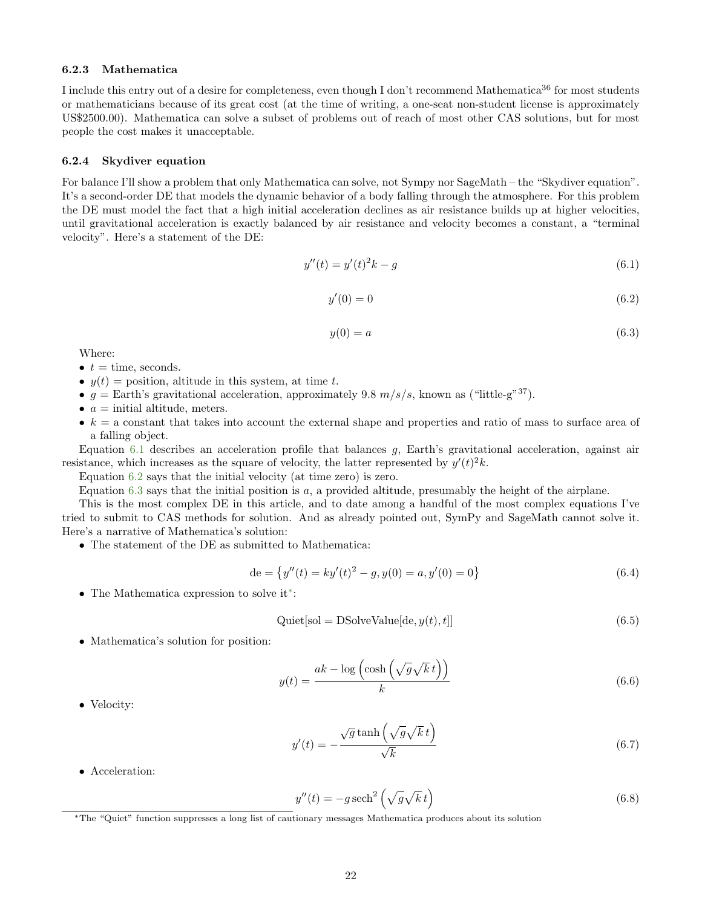#### <span id="page-21-0"></span>6.2.3 Mathematica

I include this entry out of a desire for completeness, even though I don't recommend Mathematica<sup>36</sup> for most students or mathematicians because of its great cost (at the time of writing, a one-seat non-student license is approximately US\$2500.00). Mathematica can solve a subset of problems out of reach of most other CAS solutions, but for most people the cost makes it unacceptable.

#### <span id="page-21-1"></span>6.2.4 Skydiver equation

For balance I'll show a problem that only Mathematica can solve, not Sympy nor SageMath – the "Skydiver equation". It's a second-order DE that models the dynamic behavior of a body falling through the atmosphere. For this problem the DE must model the fact that a high initial acceleration declines as air resistance builds up at higher velocities, until gravitational acceleration is exactly balanced by air resistance and velocity becomes a constant, a "terminal velocity". Here's a statement of the DE:

<span id="page-21-2"></span>
$$
y''(t) = y'(t)^2 k - g \tag{6.1}
$$

<span id="page-21-3"></span>
$$
y'(0) = 0\tag{6.2}
$$

<span id="page-21-4"></span>
$$
y(0) = a \tag{6.3}
$$

Where:

- $t =$  time, seconds.
- $y(t)$  = position, altitude in this system, at time t.
- g = Earth's gravitational acceleration, approximately 9.8  $m/s/s$ , known as ("little-g"<sup>37</sup>).
- $a =$  initial altitude, meters.
- $\bullet$  k = a constant that takes into account the external shape and properties and ratio of mass to surface area of a falling object.

Equation [6.1](#page-21-2) describes an acceleration profile that balances g, Earth's gravitational acceleration, against air resistance, which increases as the square of velocity, the latter represented by  $y'(t)^2 k$ .

Equation [6.2](#page-21-3) says that the initial velocity (at time zero) is zero.

Equation [6.3](#page-21-4) says that the initial position is  $a$ , a provided altitude, presumably the height of the airplane.

This is the most complex DE in this article, and to date among a handful of the most complex equations I've tried to submit to CAS methods for solution. And as already pointed out, SymPy and SageMath cannot solve it. Here's a narrative of Mathematica's solution:

• The statement of the DE as submitted to Mathematica:

$$
de = \{y''(t) = ky'(t)^2 - g, y(0) = a, y'(0) = 0\}
$$
\n(6.4)

• The Mathematica expression to solve it[∗](#page-21-5) :

$$
Quick[sol = DSolveValue[de, y(t), t]] \qquad (6.5)
$$

• Mathematica's solution for position:

$$
y(t) = \frac{ak - \log\left(\cosh\left(\sqrt{g}\sqrt{k}\,t\right)\right)}{k} \tag{6.6}
$$

• Velocity:

$$
y'(t) = -\frac{\sqrt{g}\tanh\left(\sqrt{g}\sqrt{k}\,t\right)}{\sqrt{k}}\tag{6.7}
$$

• Acceleration:

$$
y''(t) = -g \operatorname{sech}^2\left(\sqrt{g}\sqrt{k} t\right) \tag{6.8}
$$

<span id="page-21-5"></span><sup>∗</sup>The "Quiet" function suppresses a long list of cautionary messages Mathematica produces about its solution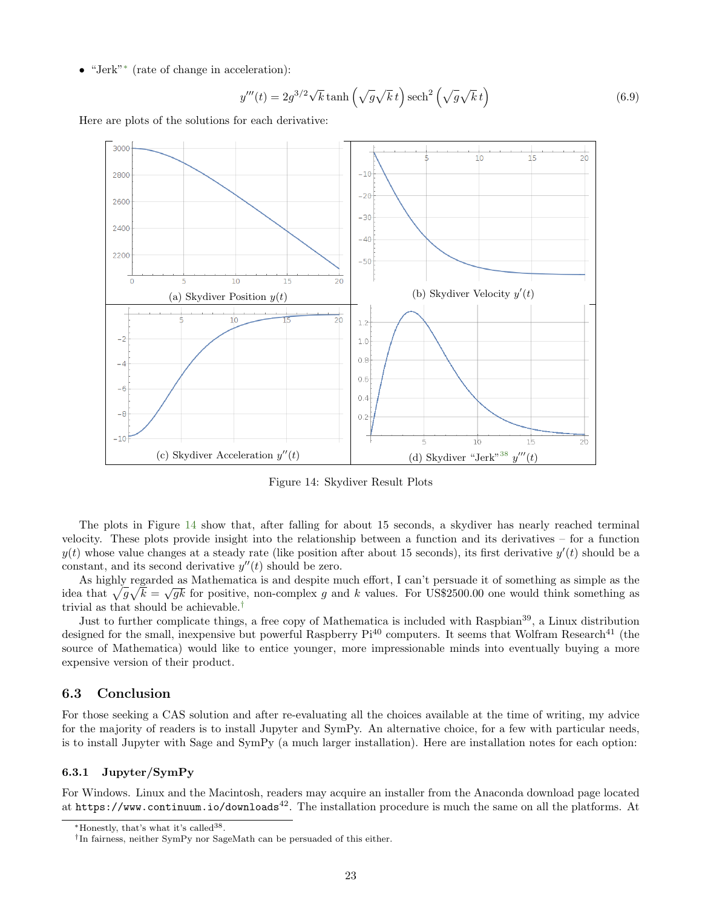• "Jerk"[∗](#page-22-3) (rate of change in acceleration):

$$
y'''(t) = 2g^{3/2}\sqrt{k}\tanh\left(\sqrt{g}\sqrt{k}\,t\right)\operatorname{sech}^2\left(\sqrt{g}\sqrt{k}\,t\right) \tag{6.9}
$$

<span id="page-22-2"></span>Here are plots of the solutions for each derivative:



Figure 14: Skydiver Result Plots

The plots in Figure [14](#page-22-2) show that, after falling for about 15 seconds, a skydiver has nearly reached terminal velocity. These plots provide insight into the relationship between a function and its derivatives – for a function  $y(t)$  whose value changes at a steady rate (like position after about 15 seconds), its first derivative  $y'(t)$  should be a constant, and its second derivative  $y''(t)$  should be zero.

As highly regarded as Mathematica is and despite much effort, I can't persuade it of something as simple as the idea that  $\sqrt{g}\sqrt{k} = \sqrt{gk}$  for positive, non-complex g and k values. For US\$2500.00 one would think something as trivial as that should be achievable.[†](#page-22-4)

Just to further complicate things, a free copy of Mathematica is included with Raspbian<sup>39</sup>, a Linux distribution designed for the small, inexpensive but powerful Raspberry  $Pi^{40}$  computers. It seems that Wolfram Research<sup>41</sup> (the source of Mathematica) would like to entice younger, more impressionable minds into eventually buying a more expensive version of their product.

# <span id="page-22-0"></span>6.3 Conclusion

For those seeking a CAS solution and after re-evaluating all the choices available at the time of writing, my advice for the majority of readers is to install Jupyter and SymPy. An alternative choice, for a few with particular needs, is to install Jupyter with Sage and SymPy (a much larger installation). Here are installation notes for each option:

#### <span id="page-22-1"></span>6.3.1 Jupyter/SymPy

For Windows. Linux and the Macintosh, readers may acquire an installer from the Anaconda download page located at https://www.continuum.io/downloads<sup>42</sup>. The installation procedure is much the same on all the platforms. At

<span id="page-22-3"></span><sup>∗</sup>Honestly, that's what it's called<sup>38</sup> .

<span id="page-22-4"></span><sup>†</sup> In fairness, neither SymPy nor SageMath can be persuaded of this either.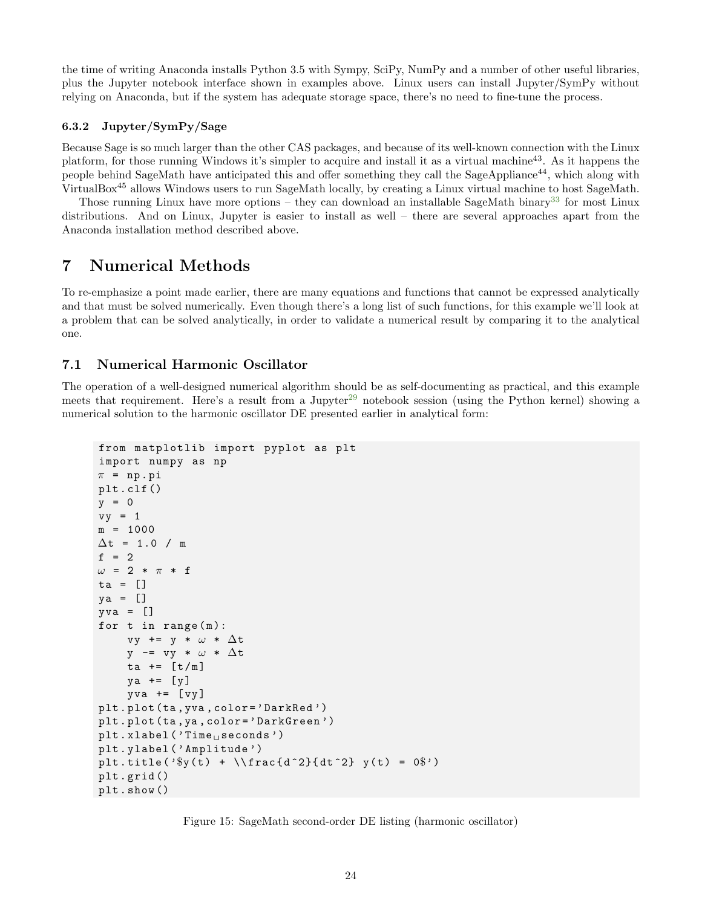the time of writing Anaconda installs Python 3.5 with Sympy, SciPy, NumPy and a number of other useful libraries, plus the Jupyter notebook interface shown in examples above. Linux users can install Jupyter/SymPy without relying on Anaconda, but if the system has adequate storage space, there's no need to fine-tune the process.

#### <span id="page-23-0"></span>6.3.2 Jupyter/SymPy/Sage

Because Sage is so much larger than the other CAS packages, and because of its well-known connection with the Linux platform, for those running Windows it's simpler to acquire and install it as a virtual machine43. As it happens the people behind SageMath have anticipated this and offer something they call the SageAppliance44, which along with VirtualBox<sup>45</sup> allows Windows users to run SageMath locally, by creating a Linux virtual machine to host SageMath.

Those running Linux have more options – they can download an installable SageMath binary<sup>[33](#page-34-2)</sup> for most Linux distributions. And on Linux, Jupyter is easier to install as well – there are several approaches apart from the Anaconda installation method described above.

# <span id="page-23-1"></span>7 Numerical Methods

To re-emphasize a point made earlier, there are many equations and functions that cannot be expressed analytically and that must be solved numerically. Even though there's a long list of such functions, for this example we'll look at a problem that can be solved analytically, in order to validate a numerical result by comparing it to the analytical one.

# <span id="page-23-2"></span>7.1 Numerical Harmonic Oscillator

The operation of a well-designed numerical algorithm should be as self-documenting as practical, and this example meets that requirement. Here's a result from a Jupyter<sup>[29](#page-34-2)</sup> notebook session (using the Python kernel) showing a numerical solution to the harmonic oscillator DE presented earlier in analytical form:

```
from matplotlib import pyplot as plt
import numpy as np
\pi = np.pi
plt . clf ()
y = 0vy = 1m = 1000\Delta t = 1.0 / mf = 2\omega = 2 * \pi * fta = []
ya = []
yva = []for t in range (m):
     vy += y * \omega * \Delta ty - vy * \omega * \Delta tta += [t/m]ya += [y]yva += [yy]plt . plot ( ta , yva , color = ' DarkRed ')
plt . plot ( ta , ya , color = ' DarkGreen ')
plt.xlabel ('Time<sub>u</sub>seconds')
plt . ylabel ( ' Amplitude ')
plt.title (\sqrt[3]{t} + \\frac{d^2}{dt^2} y(t) = 0$')
plt . grid ()
plt . show ()
```
Figure 15: SageMath second-order DE listing (harmonic oscillator)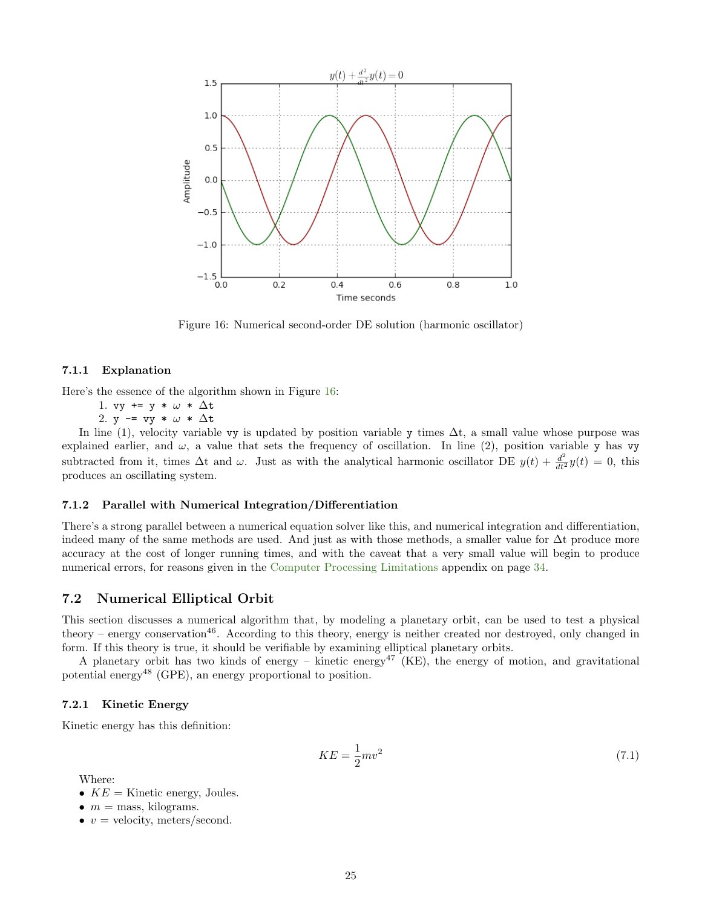<span id="page-24-4"></span>

Figure 16: Numerical second-order DE solution (harmonic oscillator)

#### <span id="page-24-0"></span>7.1.1 Explanation

Here's the essence of the algorithm shown in Figure [16:](#page-24-4)

1. vy += y \*  $\omega$  \*  $\Delta t$ 

2. y  $-$  vy \*  $\omega$  \*  $\Delta t$ 

In line (1), velocity variable vy is updated by position variable y times  $\Delta t$ , a small value whose purpose was explained earlier, and  $\omega$ , a value that sets the frequency of oscillation. In line (2), position variable y has vy subtracted from it, times  $\Delta t$  and  $\omega$ . Just as with the analytical harmonic oscillator DE  $y(t) + \frac{d^2}{dt^2}y(t) = 0$ , this produces an oscillating system.

#### <span id="page-24-1"></span>7.1.2 Parallel with Numerical Integration/Differentiation

There's a strong parallel between a numerical equation solver like this, and numerical integration and differentiation, indeed many of the same methods are used. And just as with those methods, a smaller value for ∆t produce more accuracy at the cost of longer running times, and with the caveat that a very small value will begin to produce numerical errors, for reasons given in the [Computer Processing Limitations](#page-33-2) appendix on page [34.](#page-33-2)

### <span id="page-24-2"></span>7.2 Numerical Elliptical Orbit

This section discusses a numerical algorithm that, by modeling a planetary orbit, can be used to test a physical theory – energy conservation<sup>46</sup>. According to this theory, energy is neither created nor destroyed, only changed in form. If this theory is true, it should be verifiable by examining elliptical planetary orbits.

A planetary orbit has two kinds of energy – kinetic energy<sup>47</sup> (KE), the energy of motion, and gravitational potential energy<sup>48</sup> (GPE), an energy proportional to position.

### <span id="page-24-3"></span>7.2.1 Kinetic Energy

Kinetic energy has this definition:

$$
KE = \frac{1}{2}mv^2\tag{7.1}
$$

Where:

- $KE =$  Kinetic energy, Joules.
- $m =$  mass, kilograms.
- $v =$  velocity, meters/second.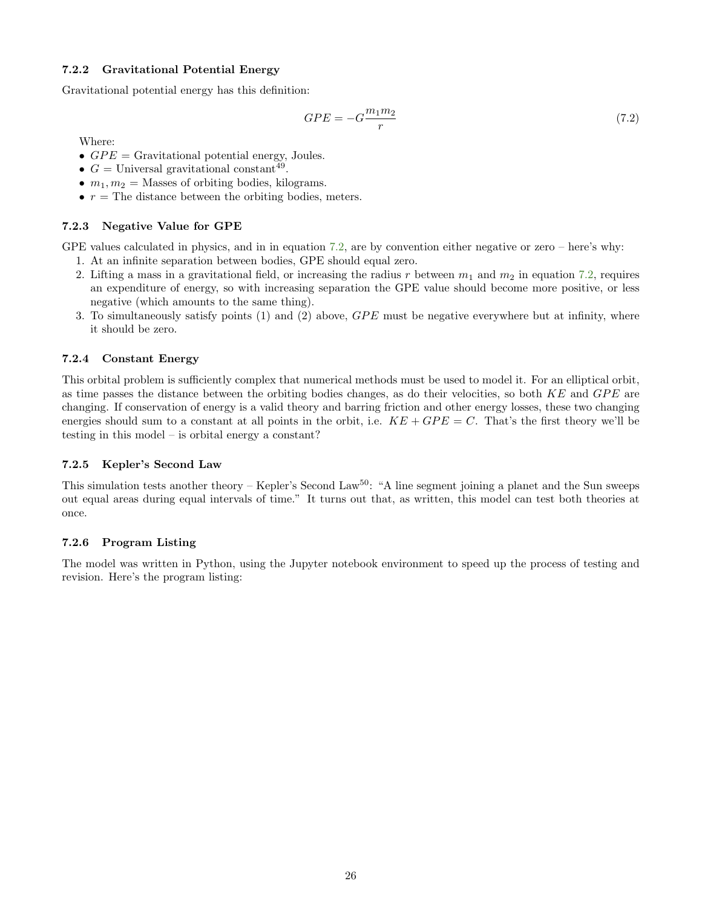# <span id="page-25-0"></span>7.2.2 Gravitational Potential Energy

Gravitational potential energy has this definition:

<span id="page-25-5"></span>
$$
GPE = -G\frac{m_1 m_2}{r} \tag{7.2}
$$

Where:

- $GPE =$  Gravitational potential energy, Joules.
- $G =$  Universal gravitational constant<sup>49</sup>.
- $m_1, m_2$  = Masses of orbiting bodies, kilograms.
- $r =$  The distance between the orbiting bodies, meters.

### <span id="page-25-1"></span>7.2.3 Negative Value for GPE

GPE values calculated in physics, and in in equation [7.2,](#page-25-5) are by convention either negative or zero – here's why:

- 1. At an infinite separation between bodies, GPE should equal zero.
- 2. Lifting a mass in a gravitational field, or increasing the radius r between  $m_1$  and  $m_2$  in equation [7.2,](#page-25-5) requires an expenditure of energy, so with increasing separation the GPE value should become more positive, or less negative (which amounts to the same thing).
- 3. To simultaneously satisfy points  $(1)$  and  $(2)$  above,  $GPE$  must be negative everywhere but at infinity, where it should be zero.

### <span id="page-25-2"></span>7.2.4 Constant Energy

This orbital problem is sufficiently complex that numerical methods must be used to model it. For an elliptical orbit, as time passes the distance between the orbiting bodies changes, as do their velocities, so both  $KE$  and  $GPE$  are changing. If conservation of energy is a valid theory and barring friction and other energy losses, these two changing energies should sum to a constant at all points in the orbit, i.e.  $KE + GPE = C$ . That's the first theory we'll be testing in this model – is orbital energy a constant?

#### <span id="page-25-3"></span>7.2.5 Kepler's Second Law

This simulation tests another theory – Kepler's Second Law<sup>50</sup>: "A line segment joining a planet and the Sun sweeps out equal areas during equal intervals of time." It turns out that, as written, this model can test both theories at once.

#### <span id="page-25-4"></span>7.2.6 Program Listing

The model was written in Python, using the Jupyter notebook environment to speed up the process of testing and revision. Here's the program listing: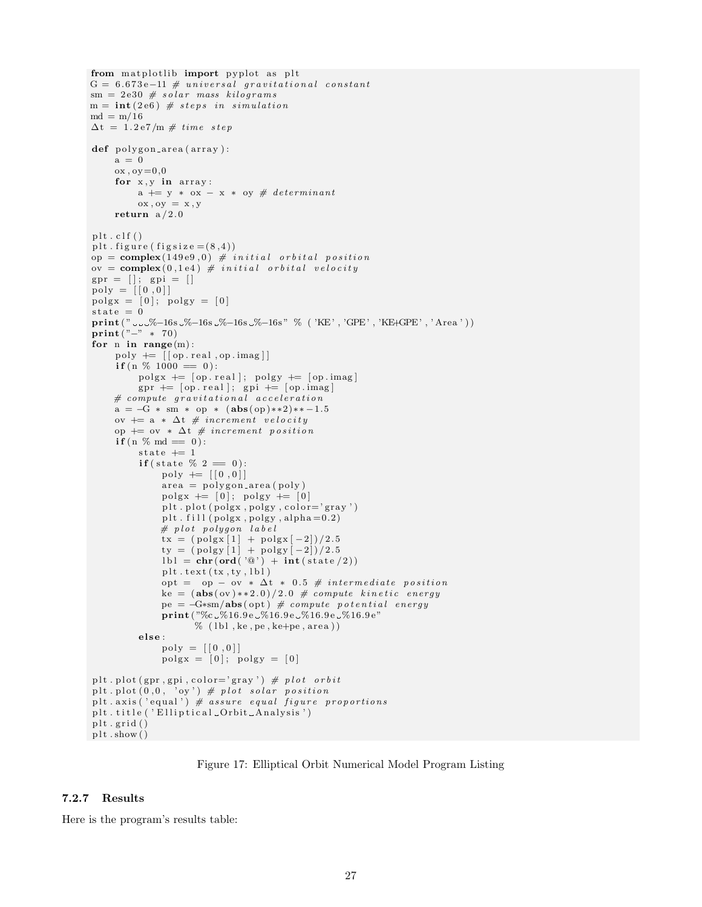```
from matplotlib import pyplot as plt
G = 6.673e-11 # universal gravitational constant
sm = 2e30 # solar mass kilograms
m = int(2e6) # steps in simulationmd = m/16\Delta t = 1.2 e7/m \# time stepdef polygon_area (array):
     a = 0\alpha x, \alpha y = 0, 0for x, y in array:
          a += y * ox - x * oy # determinant
         \alpha x, \alpha y = x, yreturn a/2.0plt. clf()plt. figure (figgsize = (8,4))
op = \text{complex}(149e9, 0) # initial orbital position
ov = \text{complex}(0, 1\text{e}4) # initial orbital velocity
gpr = []; gpi = []\mathrm{poly} = [[0,0]]\text{poly} = [0]; \text{poly} = [0]state = 0print (" ---%–16s -%–16s -%–16s -%–16s " % ( 'KE' , 'GPE' , 'KE+GPE' , 'Area '))
print("-" * 70)for n in range(m):
     poly \leftarrow [ [ op. real, op. imag ]]
     if(n \ % 1000 == 0):\text{poly } \leftarrow [\text{op} \cdot \text{real}]; \text{ poly } \leftarrow [\text{op} \cdot \text{imag}]gpr += [ op . real]; gpi += [ op . imag]
     # compute gravitational acceleration
     a = -G * sm * op * (abs(op) **2) ** -1.5ov += a * \Delta t # increment velocity
     op += ov * \Delta t \# increment positionif(n \ % \text{md} = 0):
          state += 1
          if (state \% 2 = 0):
               poly := [0, 0]area = polygon\_area(poly)polgx += [0]; polgy += [0]plt.plot(polgx, poly, color='gray')plt. fill (\text{poly}, \text{poly}, \text{alpha}=0.2)# plot polygon label
               tx = (p \text{olgx} [1] + p \text{olgx} [-2])/2.5ty = (p \log y [1] + p \log y [-2])/2.5\text{lbl} = \text{chr}(\text{ord}(\sqrt[\ell]{\mathbb{Q}})) + \text{int}(\text{state}/2))plt. text (tx, ty, lb1)opt = op - ov * \Delta t * 0.5 # intermediate position
               ke = (abs(ov) ** 2.0) / 2.0 # compute kinetic energype = -G*sm/abs( opt) # compute potential energy
               print ("%c_%16.9e_%16.9e_%16.9e_%16.9e"
                      \mathcal{C} (lbl, ke, pe, ke + pe, area))
          else:
               poly = [[0, 0]]\text{poly} = [0]; \text{poly} = [0]plt.plot (gpr,gpi,color='gray') # plot \ orbitplt.plot(0, 0, 'oy') # plot solar position
plt. axis ('equal') # assure equal figure proportions
plt.title ('Elliptical_Orbit_Analysis')
plt. grid()plt.show()
```
Figure 17: Elliptical Orbit Numerical Model Program Listing

#### <span id="page-26-0"></span>7.2.7 Results

Here is the program's results table: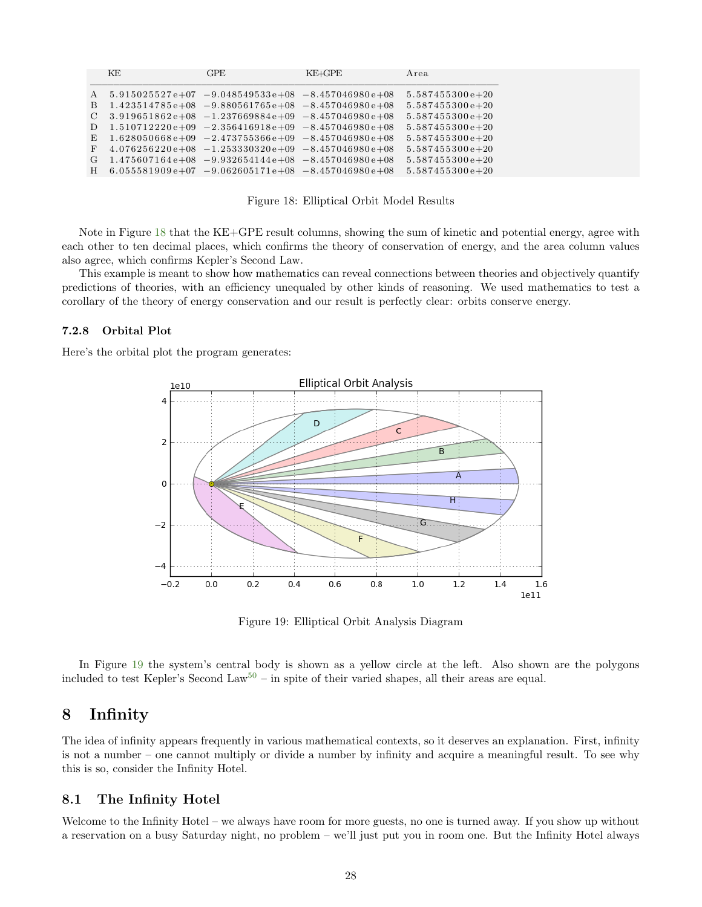<span id="page-27-3"></span>

|                 | KE | <b>GPE</b>                                              | KE+GPE | Area              |
|-----------------|----|---------------------------------------------------------|--------|-------------------|
| $\mathsf{A}$    |    | $5.915025527e+07 -9.048549533e+08 -8.457046980e+08$     |        | $5.587455300e+20$ |
| B.              |    | $1.423514785e+08$ $-9.880561765e+08$ $-8.457046980e+08$ |        | $5.587455300e+20$ |
| $\mathcal{C}^-$ |    | $3.919651862e+08 -1.237669884e+09 -8.457046980e+08$     |        | $5.587455300e+20$ |
| D               |    | $1.510712220e+09$ $-2.356416918e+09$ $-8.457046980e+08$ |        | $5.587455300e+20$ |
| E.              |    | $1.628050668e+09 -2.473755366e+09 -8.457046980e+08$     |        | $5.587455300e+20$ |
| F               |    | $4.076256220e+08 -1.253330320e+09 -8.457046980e+08$     |        | $5.587455300e+20$ |
| G               |    | $1.475607164e+08 -9.932654144e+08 -8.457046980e+08$     |        | $5.587455300e+20$ |
| H               |    | $6.055581909e+07$ $-9.062605171e+08$ $-8.457046980e+08$ |        | $5.587455300e+20$ |

Figure 18: Elliptical Orbit Model Results

Note in Figure [18](#page-27-3) that the KE+GPE result columns, showing the sum of kinetic and potential energy, agree with each other to ten decimal places, which confirms the theory of conservation of energy, and the area column values also agree, which confirms Kepler's Second Law.

This example is meant to show how mathematics can reveal connections between theories and objectively quantify predictions of theories, with an efficiency unequaled by other kinds of reasoning. We used mathematics to test a corollary of the theory of energy conservation and our result is perfectly clear: orbits conserve energy.

#### <span id="page-27-0"></span>7.2.8 Orbital Plot

<span id="page-27-4"></span>Here's the orbital plot the program generates:



Figure 19: Elliptical Orbit Analysis Diagram

In Figure [19](#page-27-4) the system's central body is shown as a yellow circle at the left. Also shown are the polygons included to test Kepler's Second Law<sup>[50](#page-34-2)</sup> – in spite of their varied shapes, all their areas are equal.

# <span id="page-27-1"></span>8 Infinity

The idea of infinity appears frequently in various mathematical contexts, so it deserves an explanation. First, infinity is not a number – one cannot multiply or divide a number by infinity and acquire a meaningful result. To see why this is so, consider the Infinity Hotel.

### <span id="page-27-2"></span>8.1 The Infinity Hotel

Welcome to the Infinity Hotel – we always have room for more guests, no one is turned away. If you show up without a reservation on a busy Saturday night, no problem – we'll just put you in room one. But the Infinity Hotel always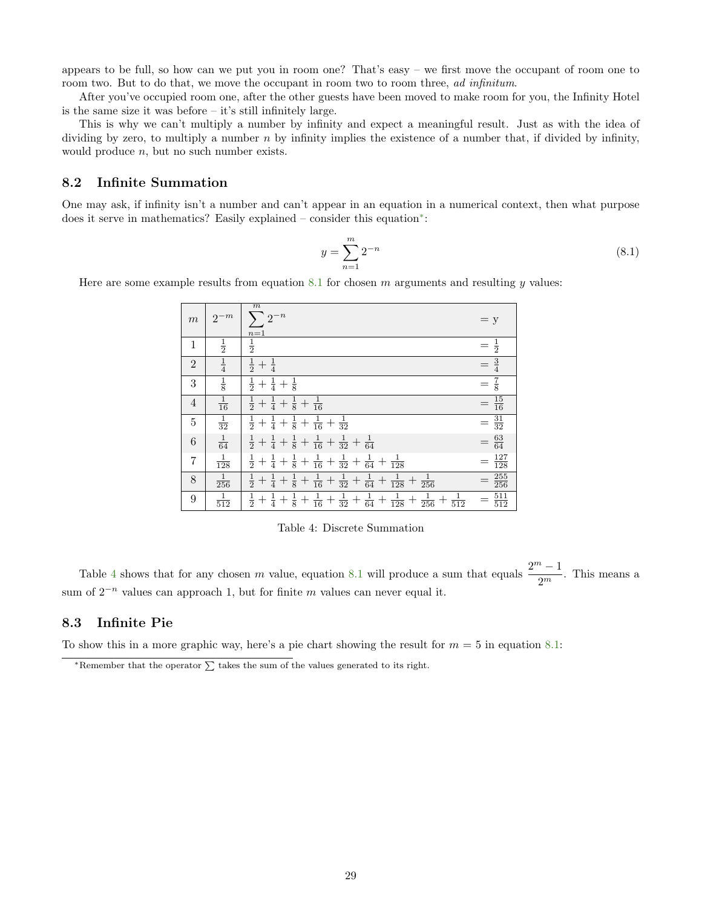appears to be full, so how can we put you in room one? That's easy – we first move the occupant of room one to room two. But to do that, we move the occupant in room two to room three, ad infinitum.

After you've occupied room one, after the other guests have been moved to make room for you, the Infinity Hotel is the same size it was before – it's still infinitely large.

This is why we can't multiply a number by infinity and expect a meaningful result. Just as with the idea of dividing by zero, to multiply a number  $n$  by infinity implies the existence of a number that, if divided by infinity, would produce  $n$ , but no such number exists.

# <span id="page-28-0"></span>8.2 Infinite Summation

One may ask, if infinity isn't a number and can't appear in an equation in a numerical context, then what purpose does it serve in mathematics? Easily explained – consider this equation[∗](#page-28-3) :

<span id="page-28-4"></span>
$$
y = \sum_{n=1}^{m} 2^{-n}
$$
 (8.1)

<span id="page-28-2"></span>Here are some example results from equation [8.1](#page-28-4) for chosen  $m$  arguments and resulting  $y$  values:

| $\boldsymbol{m}$ | $2^{-m}$        | m<br>$\sum 2^{-n}$                                                                                                                                       | $= y$               |
|------------------|-----------------|----------------------------------------------------------------------------------------------------------------------------------------------------------|---------------------|
| $\mathbf{1}$     | $\frac{1}{2}$   | $\frac{n=1}{\frac{1}{2}}$                                                                                                                                | $=\frac{1}{2}$      |
| $\overline{2}$   | $\frac{1}{4}$   | $rac{1}{2} + \frac{1}{4}$                                                                                                                                | $=\frac{3}{4}$      |
| $\boldsymbol{3}$ | $\frac{1}{8}$   | $rac{1}{2} + \frac{1}{4} + \frac{1}{8}$                                                                                                                  | $=\frac{7}{8}$      |
| $\overline{4}$   | $\frac{1}{16}$  | $\frac{1}{2} + \frac{1}{4} + \frac{1}{8} + \frac{1}{16}$                                                                                                 | $=\frac{15}{16}$    |
| $\mathbf 5$      | $\frac{1}{32}$  | $\frac{1}{2} + \frac{1}{4} + \frac{1}{8} + \frac{1}{16} + \frac{1}{32}$                                                                                  | $=\frac{31}{32}$    |
| $\boldsymbol{6}$ | $\frac{1}{64}$  | $\frac{1}{2} + \frac{1}{4} + \frac{1}{8} + \frac{1}{16} + \frac{1}{32} + \frac{1}{64}$                                                                   | $=$ $\frac{63}{64}$ |
| 7                | $\frac{1}{128}$ | $\frac{1}{2} + \frac{1}{4} + \frac{1}{8} + \frac{1}{16} + \frac{1}{32} + \frac{1}{64} +$<br>$\frac{1}{128}$                                              | $=\frac{127}{128}$  |
| $8\,$            | $\frac{1}{256}$ | $\frac{1}{8} + \frac{1}{16} + \frac{1}{32} + \frac{1}{64} +$<br>$\frac{1}{256}$<br>$rac{1}{2} + \frac{1}{4} +$<br>$\frac{1}{128}$<br>$\boldsymbol{+}$    | $=\frac{255}{256}$  |
| 9                | $\frac{1}{512}$ | $\frac{1}{8} + \frac{1}{16} + \frac{1}{32} + \frac{1}{64} +$<br>$\frac{1}{128} +$<br>$rac{1}{2} + \frac{1}{4} +$<br>$\frac{1}{256} +$<br>$\frac{1}{512}$ | $=\frac{511}{512}$  |

Table 4: Discrete Summation

Table [4](#page-28-2) shows that for any chosen m value, equation [8.1](#page-28-4) will produce a sum that equals  $\frac{2^m-1}{2^m}$  $\frac{1}{2^m}$ . This means a sum of  $2^{-n}$  values can approach 1, but for finite m values can never equal it.

# <span id="page-28-1"></span>8.3 Infinite Pie

To show this in a more graphic way, here's a pie chart showing the result for  $m = 5$  in equation [8.1:](#page-28-4)

<span id="page-28-3"></span> $*$ Remember that the operator  $\sum$  takes the sum of the values generated to its right.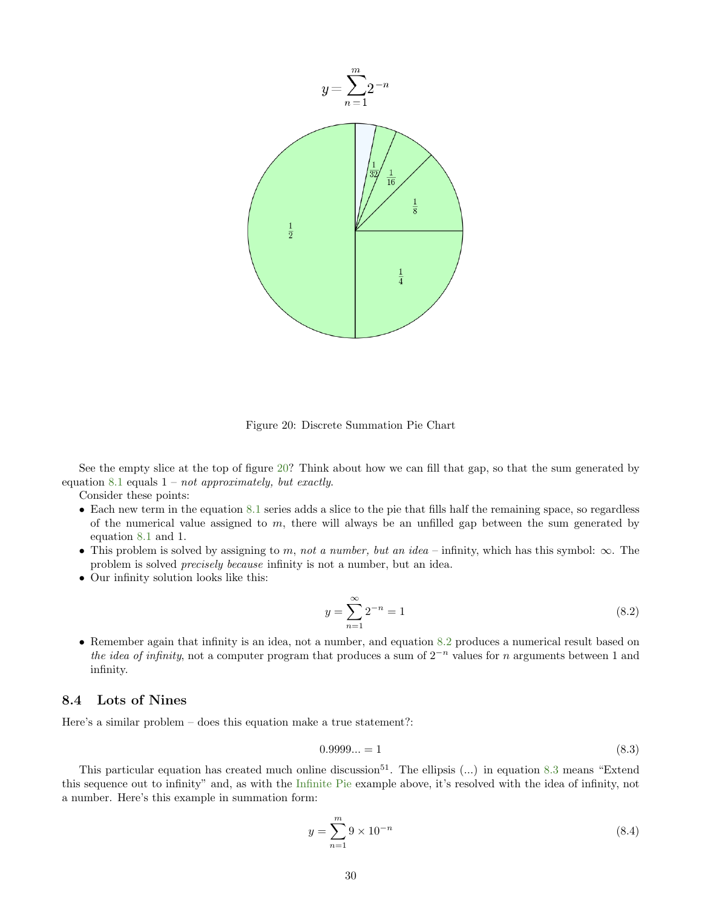<span id="page-29-1"></span>

Figure 20: Discrete Summation Pie Chart

See the empty slice at the top of figure [20?](#page-29-1) Think about how we can fill that gap, so that the sum generated by equation [8.1](#page-28-4) equals  $1 - not$  approximately, but exactly.

Consider these points:

- Each new term in the equation [8.1](#page-28-4) series adds a slice to the pie that fills half the remaining space, so regardless of the numerical value assigned to  $m$ , there will always be an unfilled gap between the sum generated by equation [8.1](#page-28-4) and 1.
- This problem is solved by assigning to m, not a number, but an idea infinity, which has this symbol:  $\infty$ . The problem is solved precisely because infinity is not a number, but an idea.
- Our infinity solution looks like this:

<span id="page-29-2"></span>
$$
y = \sum_{n=1}^{\infty} 2^{-n} = 1
$$
\n(8.2)

• Remember again that infinity is an idea, not a number, and equation [8.2](#page-29-2) produces a numerical result based on the idea of infinity, not a computer program that produces a sum of  $2^{-n}$  values for n arguments between 1 and infinity.

# <span id="page-29-0"></span>8.4 Lots of Nines

Here's a similar problem – does this equation make a true statement?:

<span id="page-29-3"></span>
$$
0.9999... = 1 \tag{8.3}
$$

This particular equation has created much online discussion<sup>51</sup>. The ellipsis  $(...)$  in equation [8.3](#page-29-3) means "Extend" this sequence out to infinity" and, as with the [Infinite Pie](#page-28-1) example above, it's resolved with the idea of infinity, not a number. Here's this example in summation form:

<span id="page-29-4"></span>
$$
y = \sum_{n=1}^{m} 9 \times 10^{-n}
$$
 (8.4)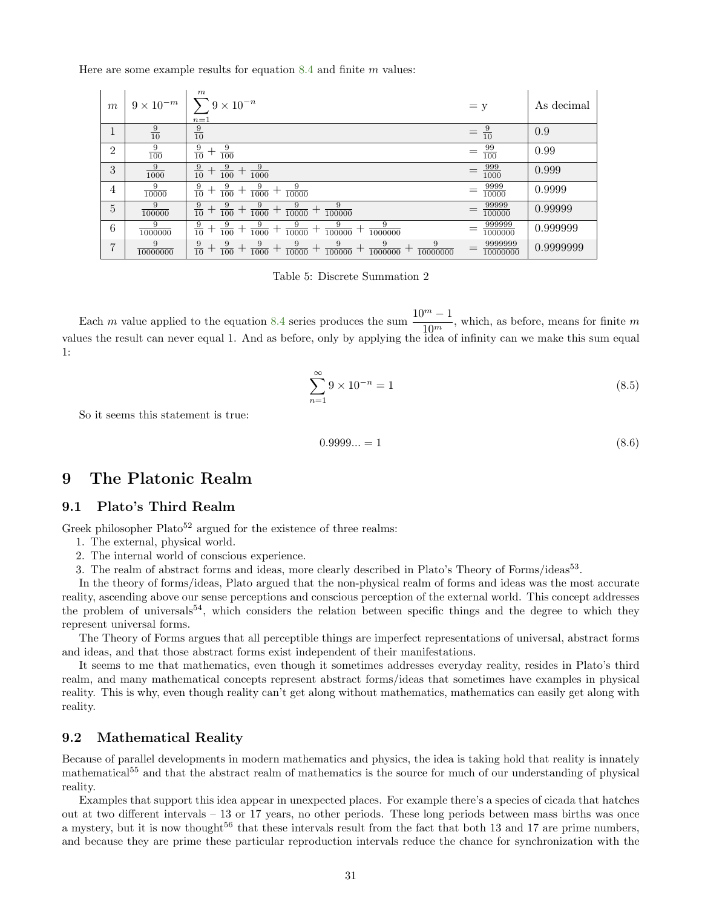<span id="page-30-3"></span>Here are some example results for equation  $8.4$  and finite m values:

| $\boldsymbol{m}$ | $9\times10^{-m}$ | $\boldsymbol{m}$<br>$9\times10^{-n}$<br>$n=1$                                                                            | $= y$                    | As decimal |
|------------------|------------------|--------------------------------------------------------------------------------------------------------------------------|--------------------------|------------|
|                  | $\frac{9}{10}$   | $\frac{9}{10}$                                                                                                           | $\frac{9}{10}$           | 0.9        |
| $\overline{2}$   | $\frac{9}{100}$  | $\frac{9}{10}$<br>9<br>$\overline{100}$                                                                                  | $\frac{99}{100}$         | 0.99       |
| 3                | 9<br>1000        | 9<br>9<br>9<br>$\overline{10}$<br>$^{+}$<br>$\overline{100}$<br>$\overline{1000}$                                        | 999<br>$\overline{1000}$ | 0.999      |
| 4                | 9<br>10000       | 9<br>9<br>9<br>9<br>$\overline{10}$<br>┯<br>$\overline{100}$<br>10000<br>$\overline{1000}$                               | 9999<br>10000            | 0.9999     |
| 5                | 9<br>100000      | 9<br>9<br>9<br>9<br>9<br>$\overline{10}$<br>$^+$<br>$\overline{100}$<br>$\overline{1000}$<br>10000<br>100000             | 99999<br>100000          | 0.99999    |
| 6                | 9<br>1000000     | 9<br>$\frac{9}{10}$<br>9<br>9<br>9<br>9<br>┯<br>$\overline{100}$<br>$\overline{1000}$<br>10000<br>100000<br>1000000      | 999999<br>1000000        | 0.999999   |
| 7                | 9<br>10000000    | 9<br>9<br>9<br>9<br>9<br>9<br>9<br>$\overline{10}$<br>$\overline{100}$<br>1000<br>10000<br>100000<br>1000000<br>10000000 | 9999999<br>10000000      | 0.9999999  |

Table 5: Discrete Summation 2

Each m value applied to the equation [8.4](#page-29-4) series produces the sum  $\frac{10^m - 1}{10^m}$ , which, as before, means for finite m values the result can never equal 1. And as before, only by applying the idea of infinity can we make this sum equal 1:

$$
\sum_{n=1}^{\infty} 9 \times 10^{-n} = 1
$$
\n(8.5)

So it seems this statement is true:

$$
0.9999... = 1 \tag{8.6}
$$

# <span id="page-30-0"></span>9 The Platonic Realm

# <span id="page-30-1"></span>9.1 Plato's Third Realm

Greek philosopher  $Plato^{52}$  argued for the existence of three realms:

- 1. The external, physical world.
- 2. The internal world of conscious experience.
- 3. The realm of abstract forms and ideas, more clearly described in Plato's Theory of Forms/ideas<sup>53</sup>.

In the theory of forms/ideas, Plato argued that the non-physical realm of forms and ideas was the most accurate reality, ascending above our sense perceptions and conscious perception of the external world. This concept addresses the problem of universals<sup>54</sup>, which considers the relation between specific things and the degree to which they represent universal forms.

The Theory of Forms argues that all perceptible things are imperfect representations of universal, abstract forms and ideas, and that those abstract forms exist independent of their manifestations.

It seems to me that mathematics, even though it sometimes addresses everyday reality, resides in Plato's third realm, and many mathematical concepts represent abstract forms/ideas that sometimes have examples in physical reality. This is why, even though reality can't get along without mathematics, mathematics can easily get along with reality.

### <span id="page-30-2"></span>9.2 Mathematical Reality

Because of parallel developments in modern mathematics and physics, the idea is taking hold that reality is innately mathematical<sup>55</sup> and that the abstract realm of mathematics is the source for much of our understanding of physical reality.

Examples that support this idea appear in unexpected places. For example there's a species of cicada that hatches out at two different intervals – 13 or 17 years, no other periods. These long periods between mass births was once a mystery, but it is now thought<sup>56</sup> that these intervals result from the fact that both 13 and 17 are prime numbers, and because they are prime these particular reproduction intervals reduce the chance for synchronization with the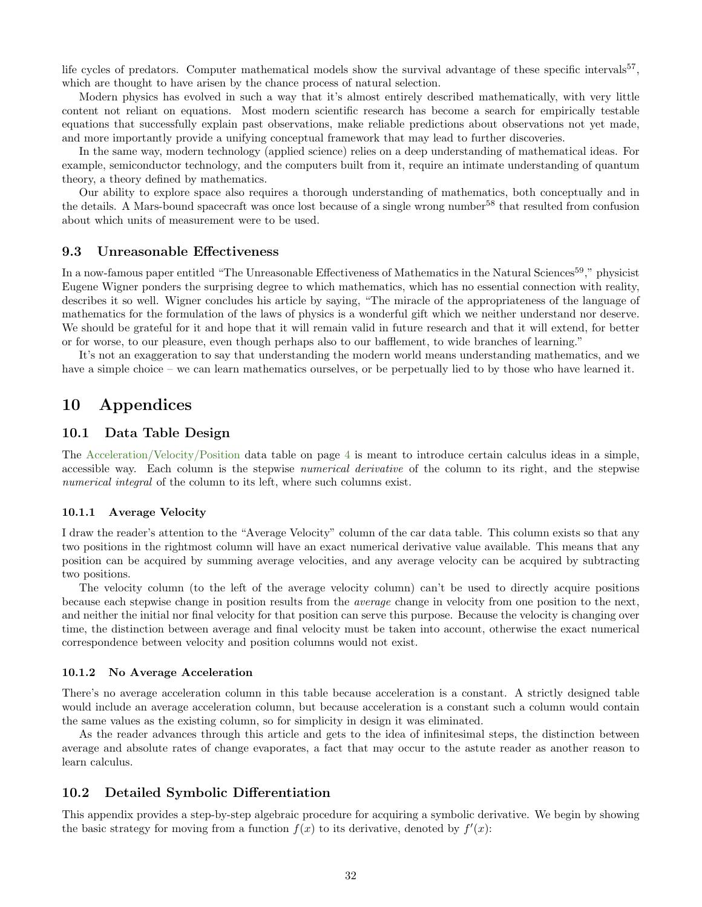life cycles of predators. Computer mathematical models show the survival advantage of these specific intervals<sup>57</sup>, which are thought to have arisen by the chance process of natural selection.

Modern physics has evolved in such a way that it's almost entirely described mathematically, with very little content not reliant on equations. Most modern scientific research has become a search for empirically testable equations that successfully explain past observations, make reliable predictions about observations not yet made, and more importantly provide a unifying conceptual framework that may lead to further discoveries.

In the same way, modern technology (applied science) relies on a deep understanding of mathematical ideas. For example, semiconductor technology, and the computers built from it, require an intimate understanding of quantum theory, a theory defined by mathematics.

Our ability to explore space also requires a thorough understanding of mathematics, both conceptually and in the details. A Mars-bound spacecraft was once lost because of a single wrong number<sup>58</sup> that resulted from confusion about which units of measurement were to be used.

# <span id="page-31-0"></span>9.3 Unreasonable Effectiveness

In a now-famous paper entitled "The Unreasonable Effectiveness of Mathematics in the Natural Sciences<sup>59</sup>," physicist Eugene Wigner ponders the surprising degree to which mathematics, which has no essential connection with reality, describes it so well. Wigner concludes his article by saying, "The miracle of the appropriateness of the language of mathematics for the formulation of the laws of physics is a wonderful gift which we neither understand nor deserve. We should be grateful for it and hope that it will remain valid in future research and that it will extend, for better or for worse, to our pleasure, even though perhaps also to our bafflement, to wide branches of learning."

It's not an exaggeration to say that understanding the modern world means understanding mathematics, and we have a simple choice – we can learn mathematics ourselves, or be perpetually lied to by those who have learned it.

# <span id="page-31-1"></span>10 Appendices

### <span id="page-31-2"></span>10.1 Data Table Design

The [Acceleration/Velocity/Position](#page-3-3) data table on page [4](#page-3-3) is meant to introduce certain calculus ideas in a simple, accessible way. Each column is the stepwise numerical derivative of the column to its right, and the stepwise numerical integral of the column to its left, where such columns exist.

#### <span id="page-31-3"></span>10.1.1 Average Velocity

I draw the reader's attention to the "Average Velocity" column of the car data table. This column exists so that any two positions in the rightmost column will have an exact numerical derivative value available. This means that any position can be acquired by summing average velocities, and any average velocity can be acquired by subtracting two positions.

The velocity column (to the left of the average velocity column) can't be used to directly acquire positions because each stepwise change in position results from the average change in velocity from one position to the next, and neither the initial nor final velocity for that position can serve this purpose. Because the velocity is changing over time, the distinction between average and final velocity must be taken into account, otherwise the exact numerical correspondence between velocity and position columns would not exist.

#### <span id="page-31-4"></span>10.1.2 No Average Acceleration

There's no average acceleration column in this table because acceleration is a constant. A strictly designed table would include an average acceleration column, but because acceleration is a constant such a column would contain the same values as the existing column, so for simplicity in design it was eliminated.

As the reader advances through this article and gets to the idea of infinitesimal steps, the distinction between average and absolute rates of change evaporates, a fact that may occur to the astute reader as another reason to learn calculus.

# <span id="page-31-5"></span>10.2 Detailed Symbolic Differentiation

This appendix provides a step-by-step algebraic procedure for acquiring a symbolic derivative. We begin by showing the basic strategy for moving from a function  $f(x)$  to its derivative, denoted by  $f'(x)$ :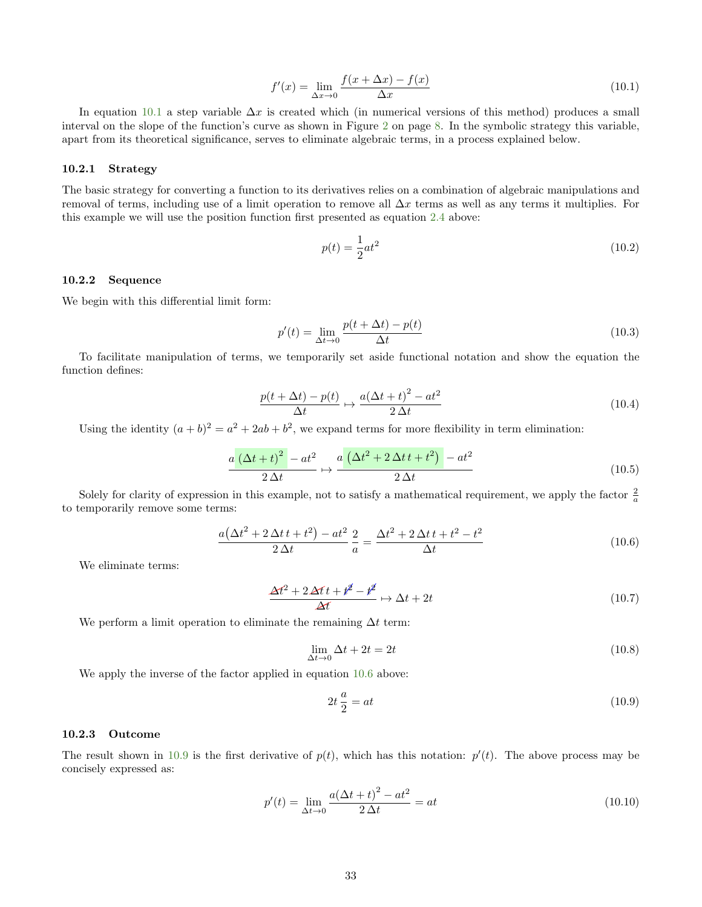<span id="page-32-3"></span>
$$
f'(x) = \lim_{\Delta x \to 0} \frac{f(x + \Delta x) - f(x)}{\Delta x}
$$
 (10.1)

In equation [10.1](#page-32-3) a step variable  $\Delta x$  is created which (in numerical versions of this method) produces a small interval on the slope of the function's curve as shown in Figure [2](#page-7-2) on page [8.](#page-7-2) In the symbolic strategy this variable, apart from its theoretical significance, serves to eliminate algebraic terms, in a process explained below.

#### <span id="page-32-0"></span>10.2.1 Strategy

The basic strategy for converting a function to its derivatives relies on a combination of algebraic manipulations and removal of terms, including use of a limit operation to remove all  $\Delta x$  terms as well as any terms it multiplies. For this example we will use the position function first presented as equation [2.4](#page-6-4) above:

$$
p(t) = \frac{1}{2}at^2
$$
\n(10.2)

#### <span id="page-32-1"></span>10.2.2 Sequence

We begin with this differential limit form:

<span id="page-32-6"></span>
$$
p'(t) = \lim_{\Delta t \to 0} \frac{p(t + \Delta t) - p(t)}{\Delta t}
$$
\n(10.3)

To facilitate manipulation of terms, we temporarily set aside functional notation and show the equation the function defines:

$$
\frac{p(t + \Delta t) - p(t)}{\Delta t} \mapsto \frac{a(\Delta t + t)^2 - at^2}{2\Delta t}
$$
\n(10.4)

Using the identity  $(a + b)^2 = a^2 + 2ab + b^2$ , we expand terms for more flexibility in term elimination:

$$
\frac{a\left(\Delta t + t\right)^2 - at^2}{2\,\Delta t} \mapsto \frac{a\left(\Delta t^2 + 2\,\Delta t\,t + t^2\right) - at^2}{2\,\Delta t} \tag{10.5}
$$

Solely for clarity of expression in this example, not to satisfy a mathematical requirement, we apply the factor  $\frac{2}{a}$ to temporarily remove some terms:

<span id="page-32-4"></span>
$$
\frac{a(\Delta t^2 + 2\Delta t t + t^2) - at^2}{2\Delta t} \frac{2}{a} = \frac{\Delta t^2 + 2\Delta t t + t^2 - t^2}{\Delta t}
$$
(10.6)

We eliminate terms:

$$
\frac{\Delta t^2 + 2\Delta t t + t^2 - t^2}{\Delta t} \mapsto \Delta t + 2t \tag{10.7}
$$

We perform a limit operation to eliminate the remaining  $\Delta t$  term:

$$
\lim_{\Delta t \to 0} \Delta t + 2t = 2t \tag{10.8}
$$

We apply the inverse of the factor applied in equation [10.6](#page-32-4) above:

<span id="page-32-5"></span>
$$
2t\frac{a}{2} = at \tag{10.9}
$$

#### <span id="page-32-2"></span>10.2.3 Outcome

The result shown in [10.9](#page-32-5) is the first derivative of  $p(t)$ , which has this notation:  $p'(t)$ . The above process may be concisely expressed as:

<span id="page-32-7"></span>
$$
p'(t) = \lim_{\Delta t \to 0} \frac{a(\Delta t + t)^2 - at^2}{2\Delta t} = at
$$
\n(10.10)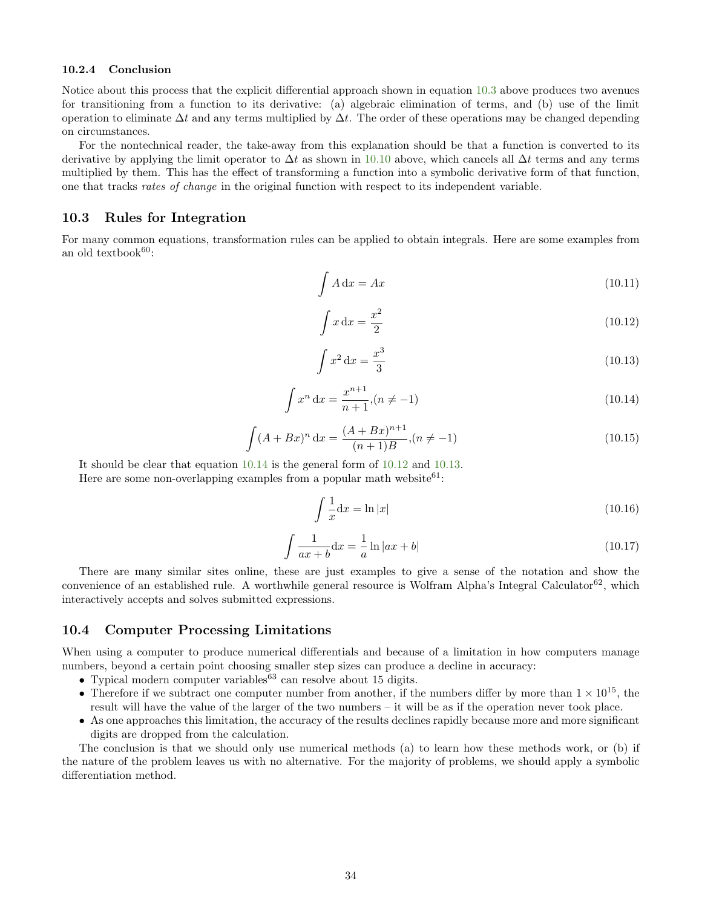#### <span id="page-33-0"></span>10.2.4 Conclusion

Notice about this process that the explicit differential approach shown in equation [10.3](#page-32-6) above produces two avenues for transitioning from a function to its derivative: (a) algebraic elimination of terms, and (b) use of the limit operation to eliminate  $\Delta t$  and any terms multiplied by  $\Delta t$ . The order of these operations may be changed depending on circumstances.

For the nontechnical reader, the take-away from this explanation should be that a function is converted to its derivative by applying the limit operator to  $\Delta t$  as shown in [10.10](#page-32-7) above, which cancels all  $\Delta t$  terms and any terms multiplied by them. This has the effect of transforming a function into a symbolic derivative form of that function, one that tracks rates of change in the original function with respect to its independent variable.

### <span id="page-33-1"></span>10.3 Rules for Integration

For many common equations, transformation rules can be applied to obtain integrals. Here are some examples from an old textbook $60:$ 

$$
\int A \, \mathrm{d}x = Ax \tag{10.11}
$$

<span id="page-33-4"></span>
$$
\int x \, \mathrm{d}x = \frac{x^2}{2} \tag{10.12}
$$

<span id="page-33-5"></span>
$$
\int x^2 \, \mathrm{d}x = \frac{x^3}{3} \tag{10.13}
$$

<span id="page-33-3"></span>
$$
\int x^n dx = \frac{x^{n+1}}{n+1}, (n \neq -1)
$$
\n(10.14)

$$
\int (A + Bx)^n dx = \frac{(A + Bx)^{n+1}}{(n+1)B}, (n \neq -1)
$$
\n(10.15)

It should be clear that equation [10.14](#page-33-3) is the general form of [10.12](#page-33-4) and [10.13.](#page-33-5)

Here are some non-overlapping examples from a popular math website  $61$ :

$$
\int \frac{1}{x} \mathrm{d}x = \ln|x| \tag{10.16}
$$

$$
\int \frac{1}{ax+b} \mathrm{d}x = -\frac{1}{a} \ln|ax+b| \tag{10.17}
$$

There are many similar sites online, these are just examples to give a sense of the notation and show the convenience of an established rule. A worthwhile general resource is Wolfram Alpha's Integral Calculator<sup>62</sup>, which interactively accepts and solves submitted expressions.

### <span id="page-33-2"></span>10.4 Computer Processing Limitations

When using a computer to produce numerical differentials and because of a limitation in how computers manage numbers, beyond a certain point choosing smaller step sizes can produce a decline in accuracy:

- Typical modern computer variables<sup>63</sup> can resolve about 15 digits.
- Therefore if we subtract one computer number from another, if the numbers differ by more than  $1 \times 10^{15}$ , the result will have the value of the larger of the two numbers – it will be as if the operation never took place.
- As one approaches this limitation, the accuracy of the results declines rapidly because more and more significant digits are dropped from the calculation.

The conclusion is that we should only use numerical methods (a) to learn how these methods work, or (b) if the nature of the problem leaves us with no alternative. For the majority of problems, we should apply a symbolic differentiation method.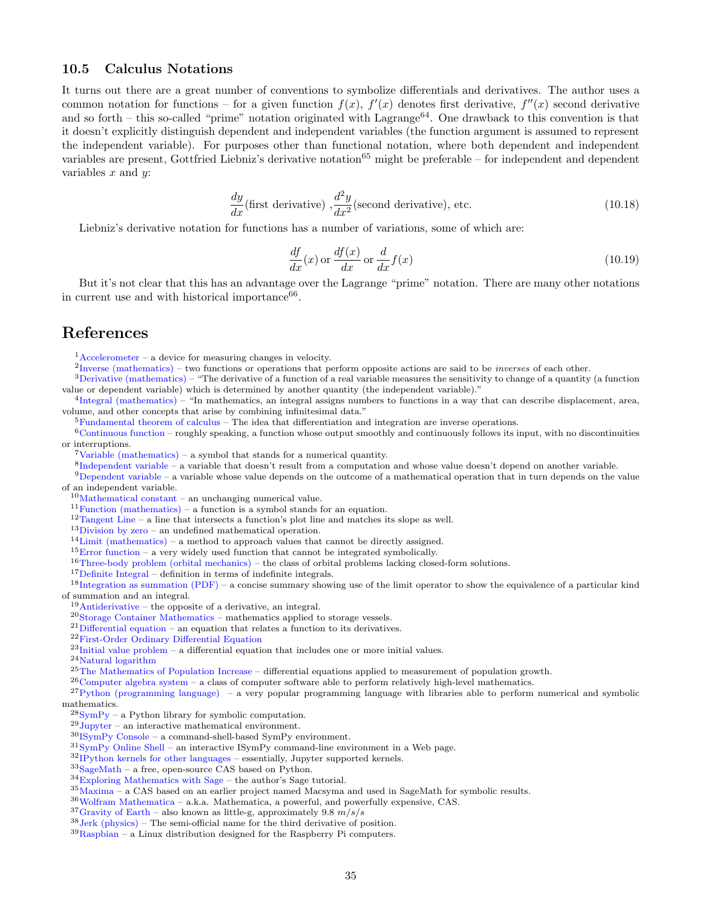# <span id="page-34-0"></span>10.5 Calculus Notations

It turns out there are a great number of conventions to symbolize differentials and derivatives. The author uses a common notation for functions – for a given function  $f(x)$ ,  $f'(x)$  denotes first derivative,  $f''(x)$  second derivative and so forth – this so-called "prime" notation originated with Lagrange<sup>64</sup>. One drawback to this convention is that it doesn't explicitly distinguish dependent and independent variables (the function argument is assumed to represent the independent variable). For purposes other than functional notation, where both dependent and independent variables are present, Gottfried Liebniz's derivative notation<sup>65</sup> might be preferable – for independent and dependent variables  $x$  and  $y$ :

$$
\frac{dy}{dx} \text{(first derivative)} , \frac{d^2y}{dx^2} \text{(second derivative)}, \text{ etc.}
$$
\n(10.18)

Liebniz's derivative notation for functions has a number of variations, some of which are:

<span id="page-34-1"></span>
$$
\frac{df}{dx}(x) \text{ or } \frac{df(x)}{dx} \text{ or } \frac{d}{dx}f(x)
$$
\n(10.19)

But it's not clear that this has an advantage over the Lagrange "prime" notation. There are many other notations in current use and with historical importance<sup>66</sup>.

# <span id="page-34-2"></span>References

 $1$ [Accelerometer](https://en.wikipedia.org/wiki/Accelerometer) – a device for measuring changes in velocity.

 ${}^{2}$ [Inverse \(mathematics\)](https://en.wikipedia.org/wiki/Inverse_(mathematics)) – two functions or operations that perform opposite actions are said to be *inverses* of each other.

<sup>3</sup>[Derivative \(mathematics\)](https://en.wikipedia.org/wiki/Derivative) – "The derivative of a function of a real variable measures the sensitivity to change of a quantity (a function value or dependent variable) which is determined by another quantity (the independent variable)."

4 [Integral \(mathematics\)](https://en.wikipedia.org/wiki/Integral) – "In mathematics, an integral assigns numbers to functions in a way that can describe displacement, area, volume, and other concepts that arise by combining infinitesimal data."

 ${}^{5}$ [Fundamental theorem of calculus](https://en.wikipedia.org/wiki/Fundamental_theorem_of_calculus) – The idea that differentiation and integration are inverse operations.

 $6$ [Continuous function](https://en.wikipedia.org/wiki/Continuous_function) – roughly speaking, a function whose output smoothly and continuously follows its input, with no discontinuities or interruptions.

 $7$ [Variable \(mathematics\)](https://en.wikipedia.org/wiki/Variable_(mathematics)) – a symbol that stands for a numerical quantity.

8 [Independent variable](https://en.wikiversity.org/wiki/Independent_variable) – a variable that doesn't result from a computation and whose value doesn't depend on another variable.

9[Dependent variable](https://en.wikiversity.org/wiki/Dependent_variable) – a variable whose value depends on the outcome of a mathematical operation that in turn depends on the value of an independent variable.

<sup>10</sup>[Mathematical constant](https://en.wikipedia.org/wiki/Mathematical_constant) – an unchanging numerical value.

 $^{11}\mathrm{Function}$  (mathematics) – a function is a symbol stands for an equation.

<sup>12</sup>[Tangent Line](http://mathworld.wolfram.com/TangentLine.html) – a line that intersects a function's plot line and matches its slope as well.

<sup>13</sup>[Division by zero](https://en.wikipedia.org/wiki/Division_by_zero) – an undefined mathematical operation.

 $14$ [Limit \(mathematics\)](https://en.wikipedia.org/wiki/Limit_(mathematics)) – a method to approach values that cannot be directly assigned.

 $15$ [Error function](https://en.wikipedia.org/wiki/Error_function) – a very widely used function that cannot be integrated symbolically.

 $16$ [Three-body problem \(orbital mechanics\)](https://en.wikipedia.org/wiki/Three-body_problem) – the class of orbital problems lacking closed-form solutions.

<sup>17</sup>[Definite Integral](http://mathworld.wolfram.com/DefiniteIntegral.html) – definition in terms of indefinite integrals.

<sup>18</sup>[Integration as summation \(PDF\)](http://www.mathcentre.ac.uk/resources/Engineering%20maths%20first%20aid%20kit/latexsource%20and%20diagrams/8_12.pdf) – a concise summary showing use of the limit operator to show the equivalence of a particular kind of summation and an integral.

 $19$ [Antiderivative](https://en.wikipedia.org/wiki/Antiderivative) – the opposite of a derivative, an integral.

<sup>20</sup>[Storage Container Mathematics](http://arachnoid.com/storage_container_mathematics) – mathematics applied to storage vessels.

 $21$ [Differential equation](https://en.wikipedia.org/wiki/Differential_equation) – an equation that relates a function to its derivatives.

<sup>22</sup>[First-Order Ordinary Differential Equation](http://mathworld.wolfram.com/First-OrderOrdinaryDifferentialEquation.html)

 $^{23}$ [Initial value problem](https://en.wikipedia.org/wiki/Initial_value_problem) – a differential equation that includes one or more initial values.

 $\rm ^{24}Natural$  logarithm

<sup>25</sup>[The Mathematics of Population Increase](http://arachnoid.com/lutusp/populati.html) – differential equations applied to measurement of population growth.

 $26$ [Computer algebra system](https://en.wikipedia.org/wiki/Computer_algebra_system) – a class of computer software able to perform relatively high-level mathematics.

 $^{27}$ [Python \(programming language\)](https://en.wikipedia.org/wiki/Python_(programming_language)) – a very popular programming language with libraries able to perform numerical and symbolic

mathematics.

 $^{28}\mathrm{SvmPy}$  – a Python library for symbolic computation.

 $29$ [Jupyter](http://jupyter.org/about.html) – an interactive mathematical environment.

<sup>30</sup>[ISymPy Console](http://docs.sympy.org/0.6.7/tutorial.html#isympy-console) – a command-shell-based SymPy environment.

 $31$ [SymPy Online Shell](http://live.sympy.org/) – an interactive ISymPy command-line environment in a Web page.

<sup>32</sup>[IPython kernels for other languages](https://github.com/ipython/ipython/wiki/IPython-kernels-for-other-languages) – essentially, Jupyter supported kernels.

 $33\,\mathrm{SageMath}$  $33\,\mathrm{SageMath}$  $33\,\mathrm{SageMath}$  – a free, open-source CAS based on Python.

<sup>34</sup>[Exploring Mathematics with Sage](http://arachnoid.com/sage) – the author's Sage tutorial.

<sup>35</sup>[Maxima](https://en.wikipedia.org/wiki/Maxima_(software)) – a CAS based on an earlier project named Macsyma and used in SageMath for symbolic results.

<sup>36</sup>[Wolfram Mathematica](https://en.wikipedia.org/wiki/Wolfram_Mathematica) – a.k.a. Mathematica, a powerful, and powerfully expensive, CAS.

 $^{37}\rm{Gravity}$  of Earth – also known as little-g, approximately 9.8  $m/s/s$ 

 $38$  [Jerk \(physics\)](https://en.wikipedia.org/wiki/Jerk_(physics)) – The semi-official name for the third derivative of position.

 $39$ [Raspbian](https://www.raspbian.org/) – a Linux distribution designed for the Raspberry Pi computers.